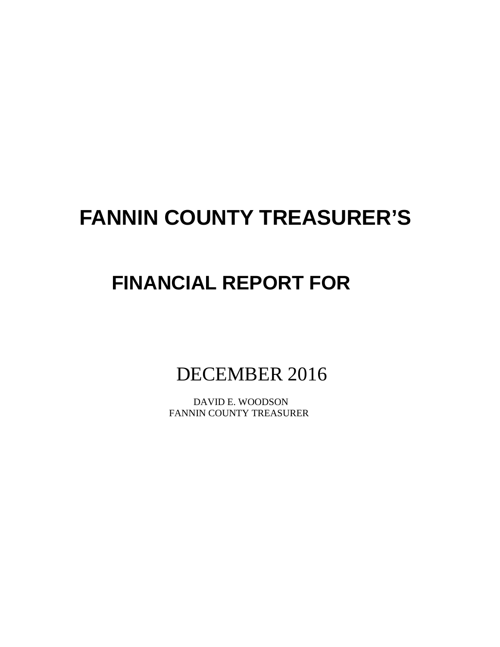# **FANNIN COUNTY TREASURER'S**

# **FINANCIAL REPORT FOR**

DECEMBER 2016

 DAVID E. WOODSON FANNIN COUNTY TREASURER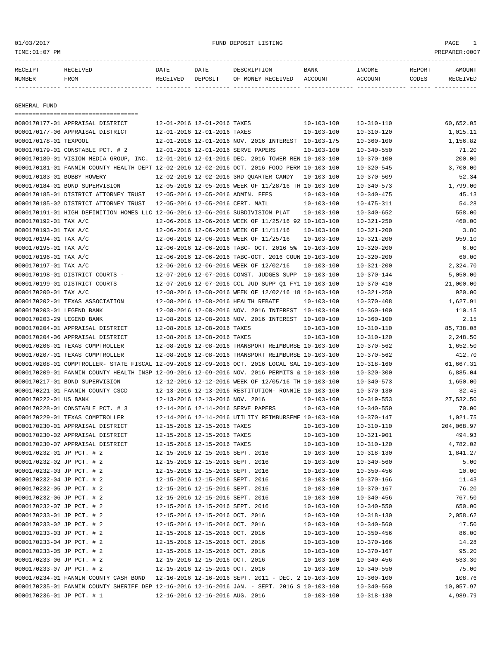# 01/03/2017 FUND DEPOSIT LISTING PAGE 1

| RECEIPT | RECEIVED | DATE     | DATE    | DESCRIPTION       | <b>BANK</b> | INCOME  | REPORT | AMOUNT          |
|---------|----------|----------|---------|-------------------|-------------|---------|--------|-----------------|
| NUMBER  | FROM     | RECEIVED | DEPOSIT | OF MONEY RECEIVED | ACCOUNT     | ACCOUNT | CODES  | <b>RECEIVED</b> |
|         |          |          |         |                   |             |         |        |                 |

GENERAL FUND

|                            | ====================================                                                         |                                  |                                  |                                                      |                  |                  |            |
|----------------------------|----------------------------------------------------------------------------------------------|----------------------------------|----------------------------------|------------------------------------------------------|------------------|------------------|------------|
|                            | 0000170177-01 APPRAISAL DISTRICT                                                             | 12-01-2016 12-01-2016 TAXES      |                                  |                                                      | $10 - 103 - 100$ | $10 - 310 - 110$ | 60,652.05  |
|                            | 0000170177-06 APPRAISAL DISTRICT                                                             | 12-01-2016 12-01-2016 TAXES      |                                  |                                                      | $10 - 103 - 100$ | $10 - 310 - 120$ | 1,015.11   |
| 0000170178-01 TEXPOOL      |                                                                                              |                                  |                                  | 12-01-2016 12-01-2016 NOV. 2016 INTEREST 10-103-175  |                  | $10 - 360 - 100$ | 1,156.82   |
|                            | 0000170179-01 CONSTABLE PCT. # 2                                                             |                                  |                                  | 12-01-2016 12-01-2016 SERVE PAPERS                   | $10 - 103 - 100$ | $10 - 340 - 550$ | 71.20      |
|                            | 0000170180-01 VISION MEDIA GROUP, INC.                                                       |                                  |                                  | 12-01-2016 12-01-2016 DEC. 2016 TOWER REN 10-103-100 |                  | $10 - 370 - 100$ | 200.00     |
|                            | 0000170181-01 FANNIN COUNTY HEALTH DEPT 12-02-2016 12-02-2016 OCT. 2016 FOOD PERM 10-103-100 |                                  |                                  |                                                      |                  | $10 - 320 - 545$ | 3,700.00   |
| 0000170183-01 BOBBY HOWERY |                                                                                              |                                  |                                  | 12-02-2016 12-02-2016 3RD QUARTER CANDY              | $10 - 103 - 100$ | $10 - 370 - 509$ | 52.34      |
|                            | 0000170184-01 BOND SUPERVISION                                                               |                                  |                                  | 12-05-2016 12-05-2016 WEEK OF 11/28/16 TH 10-103-100 |                  | $10 - 340 - 573$ | 1,799.00   |
|                            | 0000170185-01 DISTRICT ATTORNEY TRUST                                                        |                                  |                                  | 12-05-2016 12-05-2016 ADMIN. FEES                    | $10 - 103 - 100$ | $10 - 340 - 475$ | 45.13      |
|                            | 0000170185-02 DISTRICT ATTORNEY TRUST                                                        |                                  |                                  | 12-05-2016 12-05-2016 CERT. MAIL                     | $10 - 103 - 100$ | $10 - 475 - 311$ | 54.28      |
|                            | 0000170191-01 HIGH DEFINITION HOMES LLC 12-06-2016 12-06-2016 SUBDIVISION PLAT               |                                  |                                  |                                                      | $10 - 103 - 100$ | $10 - 340 - 652$ | 558.00     |
| 0000170192-01 TAX A/C      |                                                                                              |                                  |                                  | 12-06-2016 12-06-2016 WEEK OF 11/25/16 92 10-103-100 |                  | $10 - 321 - 250$ | 460.00     |
| 0000170193-01 TAX A/C      |                                                                                              |                                  |                                  | 12-06-2016 12-06-2016 WEEK OF 11/11/16               | $10 - 103 - 100$ | $10 - 321 - 200$ | 3.80       |
| 0000170194-01 TAX A/C      |                                                                                              |                                  |                                  | 12-06-2016 12-06-2016 WEEK OF 11/25/16               | $10 - 103 - 100$ | $10 - 321 - 200$ | 959.10     |
| 0000170195-01 TAX A/C      |                                                                                              |                                  |                                  | 12-06-2016 12-06-2016 TABC- OCT. 2016 5% 10-103-100  |                  | $10 - 320 - 200$ | 6.00       |
| 0000170196-01 TAX A/C      |                                                                                              |                                  |                                  | 12-06-2016 12-06-2016 TABC-OCT. 2016 COUN 10-103-100 |                  | $10 - 320 - 200$ | 60.00      |
| 0000170197-01 TAX A/C      |                                                                                              |                                  |                                  | 12-06-2016 12-06-2016 WEEK OF 12/02/16               | $10 - 103 - 100$ | $10 - 321 - 200$ | 2,324.70   |
|                            | 0000170198-01 DISTRICT COURTS -                                                              |                                  |                                  | 12-07-2016 12-07-2016 CONST. JUDGES SUPP             | 10-103-100       | $10 - 370 - 144$ | 5,050.00   |
|                            | 0000170199-01 DISTRICT COURTS                                                                |                                  |                                  | 12-07-2016 12-07-2016 CCL JUD SUPP 01 FY1 10-103-100 |                  | 10-370-410       | 21,000.00  |
| 0000170200-01 TAX A/C      |                                                                                              |                                  |                                  | 12-08-2016 12-08-2016 WEEK OF 12/02/16 18 10-103-100 |                  | $10 - 321 - 250$ | 920.00     |
|                            | 0000170202-01 TEXAS ASSOCIATION                                                              |                                  |                                  | 12-08-2016 12-08-2016 HEALTH REBATE                  | $10 - 103 - 100$ | $10 - 370 - 408$ | 1,627.91   |
| 0000170203-01 LEGEND BANK  |                                                                                              |                                  |                                  | 12-08-2016 12-08-2016 NOV. 2016 INTEREST 10-103-100  |                  | $10 - 360 - 100$ | 110.15     |
| 0000170203-29 LEGEND BANK  |                                                                                              |                                  |                                  | 12-08-2016 12-08-2016 NOV. 2016 INTEREST 10-100-100  |                  | $10 - 360 - 100$ | 2.15       |
|                            | 0000170204-01 APPRAISAL DISTRICT                                                             | 12-08-2016 12-08-2016 TAXES      |                                  |                                                      | $10 - 103 - 100$ | $10 - 310 - 110$ | 85,738.08  |
|                            | 0000170204-06 APPRAISAL DISTRICT                                                             | 12-08-2016 12-08-2016 TAXES      |                                  |                                                      | $10 - 103 - 100$ | $10 - 310 - 120$ | 2,248.50   |
|                            | 0000170206-01 TEXAS COMPTROLLER                                                              |                                  |                                  | 12-08-2016 12-08-2016 TRANSPORT REIMBURSE 10-103-100 |                  | $10 - 370 - 562$ | 1,652.50   |
|                            | 0000170207-01 TEXAS COMPTROLLER                                                              |                                  |                                  | 12-08-2016 12-08-2016 TRANSPORT REIMBURSE 10-103-100 |                  | $10 - 370 - 562$ | 412.70     |
|                            | 0000170208-01 COMPTROLLER- STATE FISCAL 12-09-2016 12-09-2016 OCT. 2016 LOCAL SAL 10-103-100 |                                  |                                  |                                                      |                  | $10 - 318 - 160$ | 61,667.31  |
|                            | 0000170209-01 FANNIN COUNTY HEALTH INSP 12-09-2016 12-09-2016 NOV. 2016 PERMITS & 10-103-100 |                                  |                                  |                                                      |                  | $10 - 320 - 300$ | 6,885.04   |
|                            | 0000170217-01 BOND SUPERVISION                                                               |                                  |                                  | 12-12-2016 12-12-2016 WEEK OF 12/05/16 TH 10-103-100 |                  | $10 - 340 - 573$ | 1,650.00   |
|                            | 0000170221-01 FANNIN COUNTY CSCD                                                             |                                  |                                  | 12-13-2016 12-13-2016 RESTITUTION- RONNIE 10-103-100 |                  | $10 - 370 - 130$ | 32.45      |
| 0000170222-01 US BANK      |                                                                                              | 12-13-2016 12-13-2016 NOV. 2016  |                                  |                                                      | $10 - 103 - 100$ | $10 - 319 - 553$ | 27,532.50  |
|                            | 0000170228-01 CONSTABLE PCT. # 3                                                             |                                  |                                  | 12-14-2016 12-14-2016 SERVE PAPERS                   | $10 - 103 - 100$ | $10 - 340 - 550$ | 70.00      |
|                            | 0000170229-01 TEXAS COMPTROLLER                                                              |                                  |                                  | 12-14-2016 12-14-2016 UTILITY REIMBURSEME 10-103-100 |                  | $10 - 370 - 147$ | 1,021.75   |
|                            | 0000170230-01 APPRAISAL DISTRICT                                                             | 12-15-2016 12-15-2016 TAXES      |                                  |                                                      | $10 - 103 - 100$ | $10 - 310 - 110$ | 204,068.97 |
|                            | 0000170230-02 APPRAISAL DISTRICT                                                             | 12-15-2016 12-15-2016 TAXES      |                                  |                                                      | $10 - 103 - 100$ | $10 - 321 - 901$ | 494.93     |
|                            | 0000170230-07 APPRAISAL DISTRICT                                                             | 12-15-2016 12-15-2016 TAXES      |                                  |                                                      | $10 - 103 - 100$ | $10 - 310 - 120$ | 4,782.02   |
| 0000170232-01 JP PCT. # 2  |                                                                                              | 12-15-2016 12-15-2016 SEPT. 2016 |                                  |                                                      | $10 - 103 - 100$ | $10 - 318 - 130$ | 1,841.27   |
| 0000170232-02 JP PCT. # 2  |                                                                                              | 12-15-2016 12-15-2016 SEPT. 2016 |                                  |                                                      | $10 - 103 - 100$ | $10 - 340 - 560$ | 5.00       |
| 0000170232-03 JP PCT. # 2  |                                                                                              |                                  |                                  | 12-15-2016 12-15-2016 SEPT. 2016                     | $10 - 103 - 100$ | $10 - 350 - 456$ | 10.00      |
| 0000170232-04 JP PCT. # 2  |                                                                                              | 12-15-2016 12-15-2016 SEPT. 2016 |                                  |                                                      | $10 - 103 - 100$ | $10 - 370 - 166$ | 11.43      |
| 0000170232-05 JP PCT. # 2  |                                                                                              |                                  | 12-15-2016 12-15-2016 SEPT. 2016 |                                                      | $10 - 103 - 100$ | $10 - 370 - 167$ | 76.20      |
| 0000170232-06 JP PCT. # 2  |                                                                                              |                                  |                                  | 12-15-2016 12-15-2016 SEPT. 2016                     | $10 - 103 - 100$ | $10 - 340 - 456$ | 767.50     |
| 0000170232-07 JP PCT. # 2  |                                                                                              |                                  |                                  | 12-15-2016 12-15-2016 SEPT. 2016                     | $10 - 103 - 100$ | $10 - 340 - 550$ | 650.00     |
| 0000170233-01 JP PCT. # 2  |                                                                                              |                                  | 12-15-2016 12-15-2016 OCT. 2016  |                                                      | $10 - 103 - 100$ | $10 - 318 - 130$ | 2,058.62   |
| 0000170233-02 JP PCT. # 2  |                                                                                              |                                  | 12-15-2016 12-15-2016 OCT. 2016  |                                                      | $10 - 103 - 100$ | $10 - 340 - 560$ | 17.50      |
| 0000170233-03 JP PCT. # 2  |                                                                                              |                                  | 12-15-2016 12-15-2016 OCT. 2016  |                                                      | $10 - 103 - 100$ | $10 - 350 - 456$ | 86.00      |
| 0000170233-04 JP PCT. # 2  |                                                                                              |                                  | 12-15-2016 12-15-2016 OCT. 2016  |                                                      | $10 - 103 - 100$ | $10 - 370 - 166$ | 14.28      |
| 0000170233-05 JP PCT. # 2  |                                                                                              | 12-15-2016 12-15-2016 OCT. 2016  |                                  |                                                      | $10 - 103 - 100$ | $10 - 370 - 167$ | 95.20      |
| 0000170233-06 JP PCT. # 2  |                                                                                              | 12-15-2016 12-15-2016 OCT. 2016  |                                  |                                                      | $10 - 103 - 100$ | $10 - 340 - 456$ | 533.30     |
| 0000170233-07 JP PCT. # 2  |                                                                                              | 12-15-2016 12-15-2016 OCT. 2016  |                                  |                                                      | $10 - 103 - 100$ | $10 - 340 - 550$ | 75.00      |
|                            | 0000170234-01 FANNIN COUNTY CASH BOND                                                        |                                  |                                  | 12-16-2016 12-16-2016 SEPT. 2011 - DEC. 2 10-103-100 |                  | $10 - 360 - 100$ | 108.76     |
|                            | 0000170235-01 FANNIN COUNTY SHERIFF DEP 12-16-2016 12-16-2016 JAN. - SEPT. 2016 S 10-103-100 |                                  |                                  |                                                      |                  | $10 - 340 - 560$ | 10,057.97  |
| 0000170236-01 JP PCT. # 1  |                                                                                              |                                  | 12-16-2016 12-16-2016 AUG. 2016  |                                                      | $10 - 103 - 100$ | $10 - 318 - 130$ | 4,989.79   |
|                            |                                                                                              |                                  |                                  |                                                      |                  |                  |            |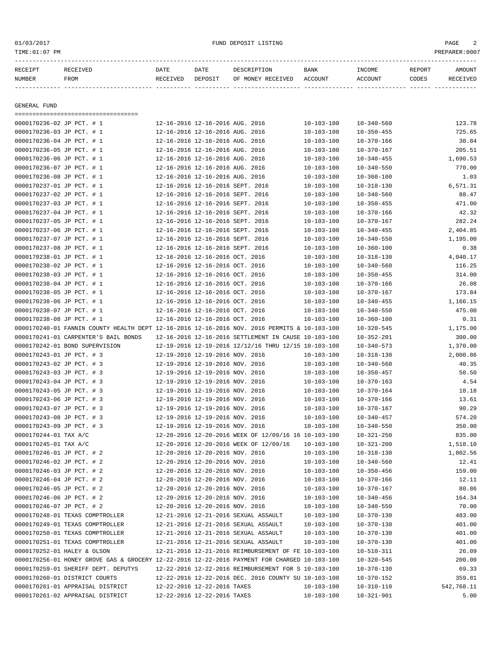|              | TIME: 01:07 PM<br>PREPARER:0007     |                                 |                                 |                                  |                  |                  |        |          |  |  |
|--------------|-------------------------------------|---------------------------------|---------------------------------|----------------------------------|------------------|------------------|--------|----------|--|--|
| RECEIPT      | RECEIVED                            | DATE                            | DATE                            | DESCRIPTION                      | BANK             | INCOME           | REPORT | AMOUNT   |  |  |
| NUMBER       | FROM                                | RECEIVED                        | DEPOSIT                         | OF MONEY RECEIVED ACCOUNT        |                  | ACCOUNT          | CODES  | RECEIVED |  |  |
|              |                                     |                                 |                                 |                                  |                  |                  |        |          |  |  |
| GENERAL FUND |                                     |                                 |                                 |                                  |                  |                  |        |          |  |  |
|              | =================================== |                                 |                                 |                                  |                  |                  |        |          |  |  |
|              | 0000170236-02 JP PCT. # 1           | 12-16-2016 12-16-2016 AUG. 2016 |                                 |                                  | 10-103-100       | 10-340-560       |        | 123.78   |  |  |
|              | 0000170236-03 JP PCT. # 1           |                                 | 12-16-2016 12-16-2016 AUG. 2016 |                                  | $10 - 103 - 100$ | $10 - 350 - 455$ |        | 725.65   |  |  |
|              | 0000170236-04 JP PCT. # 1           |                                 | 12-16-2016 12-16-2016 AUG. 2016 |                                  | $10 - 103 - 100$ | $10 - 370 - 166$ |        | 30.84    |  |  |
|              | 0000170236-05 JP PCT. # 1           |                                 | 12-16-2016 12-16-2016 AUG. 2016 |                                  | $10 - 103 - 100$ | $10 - 370 - 167$ |        | 205.51   |  |  |
|              | 0000170236-06 JP PCT. # 1           |                                 | 12-16-2016 12-16-2016 AUG. 2016 |                                  | $10 - 103 - 100$ | $10 - 340 - 455$ |        | 1,690.53 |  |  |
|              | 0000170236-07 JP PCT. # 1           |                                 | 12-16-2016 12-16-2016 AUG. 2016 |                                  | $10 - 103 - 100$ | $10 - 340 - 550$ |        | 770.00   |  |  |
|              | 0000170236-08 JP PCT. # 1           |                                 | 12-16-2016 12-16-2016 AUG. 2016 |                                  | $10 - 103 - 100$ | $10 - 360 - 100$ |        | 1.03     |  |  |
|              | 0000170237-01 JP PCT. # 1           |                                 |                                 | 12-16-2016 12-16-2016 SEPT. 2016 | $10 - 103 - 100$ | 10-318-130       |        | 6,571.31 |  |  |
|              | 0000170237-02 JP PCT. # 1           |                                 |                                 | 12-16-2016 12-16-2016 SEPT. 2016 | $10 - 103 - 100$ | $10 - 340 - 560$ |        | 88.47    |  |  |
|              | 0000170237-03 JP PCT. # 1           |                                 |                                 | 12-16-2016 12-16-2016 SEPT. 2016 | $10 - 103 - 100$ | $10 - 350 - 455$ |        | 471.00   |  |  |
|              | 0000170237-04 JP PCT. # 1           |                                 |                                 | 12-16-2016 12-16-2016 SEPT. 2016 | $10 - 103 - 100$ | $10 - 370 - 166$ |        | 42.32    |  |  |
|              | 0000170237-05 JP PCT. # 1           |                                 |                                 | 12-16-2016 12-16-2016 SEPT. 2016 | $10 - 103 - 100$ | $10 - 370 - 167$ |        | 282.24   |  |  |
|              | 0000170237-06 JP PCT. # 1           |                                 |                                 | 12-16-2016 12-16-2016 SEPT. 2016 | 10-103-100       | $10 - 340 - 455$ |        | 2,404.85 |  |  |
|              | 1 # POND170237_07.                  |                                 |                                 | 12-16-2016 12-16-2016 REDT 2016  | 10-103-100       | 10-340-550       |        | 1 195 00 |  |  |

|                           | OUUUI/UZJ/-UI UF FCI, # 1                                                                    | 4-10-4010 14-10-4010 blei. 4010  |                                                      | $+0 +0.3 +0.0$   | 10-370-100       | 74.94      |
|---------------------------|----------------------------------------------------------------------------------------------|----------------------------------|------------------------------------------------------|------------------|------------------|------------|
| 0000170237-05 JP PCT. # 1 |                                                                                              |                                  | 12-16-2016 12-16-2016 SEPT. 2016                     | $10 - 103 - 100$ | $10 - 370 - 167$ | 282.24     |
| 0000170237-06 JP PCT. # 1 |                                                                                              |                                  | 12-16-2016 12-16-2016 SEPT. 2016                     | $10 - 103 - 100$ | $10 - 340 - 455$ | 2,404.85   |
| 0000170237-07 JP PCT. # 1 |                                                                                              |                                  | 12-16-2016 12-16-2016 SEPT. 2016                     | $10 - 103 - 100$ | $10 - 340 - 550$ | 1,195.00   |
| 0000170237-08 JP PCT. # 1 |                                                                                              | 12-16-2016 12-16-2016 SEPT. 2016 |                                                      | $10 - 103 - 100$ | $10 - 360 - 100$ | 0.38       |
| 0000170238-01 JP PCT. # 1 |                                                                                              | 12-16-2016 12-16-2016 OCT. 2016  |                                                      | $10 - 103 - 100$ | $10 - 318 - 130$ | 4,040.17   |
| 0000170238-02 JP PCT. # 1 |                                                                                              | 12-16-2016 12-16-2016 OCT. 2016  |                                                      | $10 - 103 - 100$ | $10 - 340 - 560$ | 116.25     |
| 0000170238-03 JP PCT. # 1 |                                                                                              | 12-16-2016 12-16-2016 OCT. 2016  |                                                      | $10 - 103 - 100$ | $10 - 350 - 455$ | 314.00     |
| 0000170238-04 JP PCT. # 1 |                                                                                              | 12-16-2016 12-16-2016 OCT. 2016  |                                                      | $10 - 103 - 100$ | $10 - 370 - 166$ | 26.08      |
| 0000170238-05 JP PCT. # 1 |                                                                                              | 12-16-2016 12-16-2016 OCT. 2016  |                                                      | $10 - 103 - 100$ | $10 - 370 - 167$ | 173.84     |
| 0000170238-06 JP PCT. # 1 |                                                                                              | 12-16-2016 12-16-2016 OCT. 2016  |                                                      | $10 - 103 - 100$ | $10 - 340 - 455$ | 1,166.15   |
| 0000170238-07 JP PCT. # 1 |                                                                                              | 12-16-2016 12-16-2016 OCT. 2016  |                                                      | $10 - 103 - 100$ | $10 - 340 - 550$ | 475.00     |
| 0000170238-08 JP PCT. # 1 |                                                                                              | 12-16-2016 12-16-2016 OCT. 2016  |                                                      | $10 - 103 - 100$ | $10 - 360 - 100$ | 0.31       |
|                           | 0000170240-01 FANNIN COUNTY HEALTH DEPT 12-16-2016 12-16-2016 NOV. 2016 PERMITS & 10-103-100 |                                  |                                                      |                  | $10 - 320 - 545$ | 1,175.00   |
|                           | 0000170241-01 CARPENTER'S BAIL BONDS                                                         |                                  | 12-16-2016 12-16-2016 SETTLEMENT IN CAUSE 10-103-100 |                  | $10 - 352 - 201$ | 300.00     |
|                           | 0000170242-01 BOND SUPERVISION                                                               |                                  | 12-19-2016 12-19-2016 12/12/16 THRU 12/15 10-103-100 |                  | $10 - 340 - 573$ | 1,370.00   |
| 0000170243-01 JP PCT. # 3 |                                                                                              | 12-19-2016 12-19-2016 NOV. 2016  |                                                      | $10 - 103 - 100$ | $10 - 318 - 130$ | 2,000.86   |
| 0000170243-02 JP PCT. # 3 |                                                                                              | 12-19-2016 12-19-2016 NOV. 2016  |                                                      | $10 - 103 - 100$ | $10 - 340 - 560$ | 40.35      |
| 0000170243-03 JP PCT. # 3 |                                                                                              | 12-19-2016 12-19-2016 NOV. 2016  |                                                      | $10 - 103 - 100$ | $10 - 350 - 457$ | 50.50      |
| 0000170243-04 JP PCT. # 3 |                                                                                              | 12-19-2016 12-19-2016 NOV. 2016  |                                                      | $10 - 103 - 100$ | $10 - 370 - 163$ | 4.54       |
| 0000170243-05 JP PCT. # 3 |                                                                                              | 12-19-2016 12-19-2016 NOV. 2016  |                                                      | $10 - 103 - 100$ | $10 - 370 - 164$ | 18.18      |
| 0000170243-06 JP PCT. # 3 |                                                                                              | 12-19-2016 12-19-2016 NOV. 2016  |                                                      | $10 - 103 - 100$ | $10 - 370 - 166$ | 13.61      |
| 0000170243-07 JP PCT. # 3 |                                                                                              | 12-19-2016 12-19-2016 NOV. 2016  |                                                      | $10 - 103 - 100$ | $10 - 370 - 167$ | 90.29      |
| 0000170243-08 JP PCT. # 3 |                                                                                              | 12-19-2016 12-19-2016 NOV. 2016  |                                                      | $10 - 103 - 100$ | $10 - 340 - 457$ | 574.20     |
| 0000170243-09 JP PCT. # 3 |                                                                                              | 12-19-2016 12-19-2016 NOV. 2016  |                                                      | $10 - 103 - 100$ | $10 - 340 - 550$ | 350.00     |
| 0000170244-01 TAX A/C     |                                                                                              |                                  | 12-20-2016 12-20-2016 WEEK OF 12/09/16 16 10-103-100 |                  | $10 - 321 - 250$ | 835.00     |
| 0000170245-01 TAX A/C     |                                                                                              |                                  | 12-20-2016 12-20-2016 WEEK OF 12/09/16               | $10 - 103 - 100$ | $10 - 321 - 200$ | 1,518.10   |
| 0000170246-01 JP PCT. # 2 |                                                                                              | 12-20-2016 12-20-2016 NOV. 2016  |                                                      | $10 - 103 - 100$ | $10 - 318 - 130$ | 1,802.56   |
| 0000170246-02 JP PCT. # 2 |                                                                                              | 12-20-2016 12-20-2016 NOV. 2016  |                                                      | $10 - 103 - 100$ | $10 - 340 - 560$ | 12.41      |
| 0000170246-03 JP PCT. # 2 |                                                                                              | 12-20-2016 12-20-2016 NOV. 2016  |                                                      | $10 - 103 - 100$ | $10 - 350 - 456$ | 159.00     |
| 0000170246-04 JP PCT. # 2 |                                                                                              | 12-20-2016 12-20-2016 NOV. 2016  |                                                      | $10 - 103 - 100$ | $10 - 370 - 166$ | 12.11      |
| 0000170246-05 JP PCT. # 2 |                                                                                              | 12-20-2016 12-20-2016 NOV. 2016  |                                                      | $10 - 103 - 100$ | $10 - 370 - 167$ | 80.86      |
| 0000170246-06 JP PCT. # 2 |                                                                                              | 12-20-2016 12-20-2016 NOV. 2016  |                                                      | $10 - 103 - 100$ | $10 - 340 - 456$ | 164.34     |
| 0000170246-07 JP PCT. # 2 |                                                                                              | 12-20-2016 12-20-2016 NOV. 2016  |                                                      | $10 - 103 - 100$ | $10 - 340 - 550$ | 70.00      |
|                           | 0000170248-01 TEXAS COMPTROLLER                                                              |                                  | 12-21-2016 12-21-2016 SEXUAL ASSAULT                 | $10 - 103 - 100$ | $10 - 370 - 130$ | 483.00     |
|                           | 0000170249-01 TEXAS COMPTROLLER                                                              |                                  | 12-21-2016 12-21-2016 SEXUAL ASSAULT                 | $10 - 103 - 100$ | $10 - 370 - 130$ | 401.00     |
|                           | 0000170250-01 TEXAS COMPTROLLER                                                              |                                  | 12-21-2016 12-21-2016 SEXUAL ASSAULT                 | $10 - 103 - 100$ | $10 - 370 - 130$ | 401.00     |
|                           | 0000170251-01 TEXAS COMPTROLLER                                                              |                                  | 12-21-2016 12-21-2016 SEXUAL ASSAULT                 | $10 - 103 - 100$ | $10 - 370 - 130$ | 401.00     |
|                           | 0000170252-01 HALEY & OLSON                                                                  |                                  | 12-21-2016 12-21-2016 REIMBURSEMENT OF FE 10-103-100 |                  | $10 - 510 - 311$ | 26.09      |
|                           | 0000170256-01 HONEY GROVE GAS & GROCERY 12-22-2016 12-22-2016 PAYMENT FOR CHARGED 10-103-100 |                                  |                                                      |                  | $10 - 320 - 545$ | 200.00     |
|                           | 0000170259-01 SHERIFF DEPT. DEPUTYS                                                          |                                  | 12-22-2016 12-22-2016 REIMBURSEMENT FOR S 10-103-100 |                  | $10 - 370 - 130$ | 69.33      |
|                           | 0000170260-01 DISTRICT COURTS                                                                |                                  | 12-22-2016 12-22-2016 DEC. 2016 COUNTY SU 10-103-100 |                  | $10 - 370 - 152$ | 359.81     |
|                           | 0000170261-01 APPRAISAL DISTRICT                                                             | 12-22-2016 12-22-2016 TAXES      |                                                      | $10 - 103 - 100$ | $10 - 310 - 110$ | 542,768.11 |
|                           | 0000170261-02 APPRAISAL DISTRICT                                                             | 12-22-2016 12-22-2016 TAXES      |                                                      | $10 - 103 - 100$ | $10 - 321 - 901$ | 5.00       |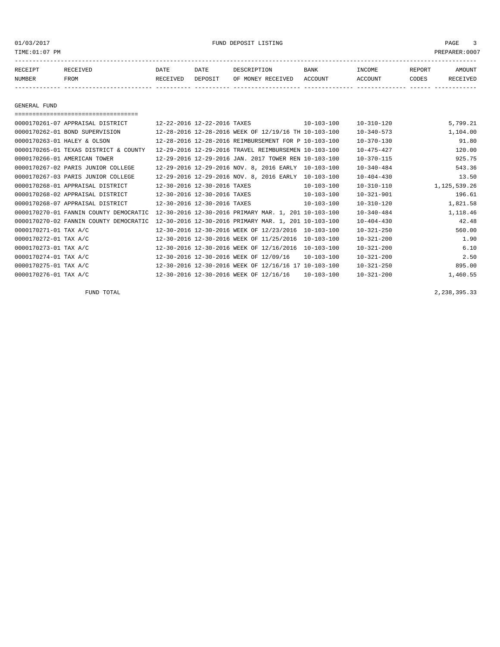# 01/03/2017 FUND DEPOSIT LISTING PAGE 3

| RECEIPT | RECEIVED | DATE     | DATE    | DESCRIPTION       | <b>BANK</b> | <b>INCOME</b> | REPORT | <b>AMOUNT</b>   |
|---------|----------|----------|---------|-------------------|-------------|---------------|--------|-----------------|
| NUMBER  | FROM     | RECEIVED | DEPOSIT | OF MONEY RECEIVED | ACCOUNT     | ACCOUNT       | CODES  | <b>RECEIVED</b> |
|         |          |          |         |                   |             |               |        |                 |

GENERAL FUND

| 12-22-2016 12-22-2016 TAXES | $10 - 103 - 100$                                                                 | $10 - 310 - 120$                                                                                                                                                                                                                                                                                                                                                                                                                                                                                                                                                                                                                                                                           | 5,799.21     |
|-----------------------------|----------------------------------------------------------------------------------|--------------------------------------------------------------------------------------------------------------------------------------------------------------------------------------------------------------------------------------------------------------------------------------------------------------------------------------------------------------------------------------------------------------------------------------------------------------------------------------------------------------------------------------------------------------------------------------------------------------------------------------------------------------------------------------------|--------------|
|                             |                                                                                  | $10 - 340 - 573$                                                                                                                                                                                                                                                                                                                                                                                                                                                                                                                                                                                                                                                                           | 1,104.00     |
|                             |                                                                                  | $10 - 370 - 130$                                                                                                                                                                                                                                                                                                                                                                                                                                                                                                                                                                                                                                                                           | 91.80        |
|                             |                                                                                  | $10 - 475 - 427$                                                                                                                                                                                                                                                                                                                                                                                                                                                                                                                                                                                                                                                                           | 120.00       |
|                             |                                                                                  | $10 - 370 - 115$                                                                                                                                                                                                                                                                                                                                                                                                                                                                                                                                                                                                                                                                           | 925.75       |
|                             | $10 - 103 - 100$                                                                 | $10 - 340 - 484$                                                                                                                                                                                                                                                                                                                                                                                                                                                                                                                                                                                                                                                                           | 543.36       |
|                             | $10 - 103 - 100$                                                                 | $10 - 404 - 430$                                                                                                                                                                                                                                                                                                                                                                                                                                                                                                                                                                                                                                                                           | 13.50        |
| 12-30-2016 12-30-2016 TAXES | $10 - 103 - 100$                                                                 | $10 - 310 - 110$                                                                                                                                                                                                                                                                                                                                                                                                                                                                                                                                                                                                                                                                           | 1,125,539.26 |
| 12-30-2016 12-30-2016 TAXES | $10 - 103 - 100$                                                                 | $10 - 321 - 901$                                                                                                                                                                                                                                                                                                                                                                                                                                                                                                                                                                                                                                                                           | 196.61       |
| 12-30-2016 12-30-2016 TAXES | $10 - 103 - 100$                                                                 | $10 - 310 - 120$                                                                                                                                                                                                                                                                                                                                                                                                                                                                                                                                                                                                                                                                           | 1,821.58     |
|                             |                                                                                  | $10 - 340 - 484$                                                                                                                                                                                                                                                                                                                                                                                                                                                                                                                                                                                                                                                                           | 1,118.46     |
|                             | $10 - 103 - 100$<br>201                                                          | $10 - 404 - 430$                                                                                                                                                                                                                                                                                                                                                                                                                                                                                                                                                                                                                                                                           | 42.48        |
|                             | $10 - 103 - 100$                                                                 | $10 - 321 - 250$                                                                                                                                                                                                                                                                                                                                                                                                                                                                                                                                                                                                                                                                           | 560.00       |
|                             | $10 - 103 - 100$                                                                 | $10 - 321 - 200$                                                                                                                                                                                                                                                                                                                                                                                                                                                                                                                                                                                                                                                                           | 1.90         |
|                             | $10 - 103 - 100$                                                                 | $10 - 321 - 200$                                                                                                                                                                                                                                                                                                                                                                                                                                                                                                                                                                                                                                                                           | 6.10         |
|                             | $10 - 103 - 100$                                                                 | $10 - 321 - 200$                                                                                                                                                                                                                                                                                                                                                                                                                                                                                                                                                                                                                                                                           | 2.50         |
|                             | $10 - 103 - 100$                                                                 | $10 - 321 - 250$                                                                                                                                                                                                                                                                                                                                                                                                                                                                                                                                                                                                                                                                           | 895.00       |
|                             | $10 - 103 - 100$                                                                 | $10 - 321 - 200$                                                                                                                                                                                                                                                                                                                                                                                                                                                                                                                                                                                                                                                                           | 1,460.55     |
|                             | 0000170270-01 FANNIN COUNTY DEMOCRATIC<br>0000170270-02 FANNIN COUNTY DEMOCRATIC | 12-28-2016 12-28-2016 WEEK OF 12/19/16 TH 10-103-100<br>12-28-2016 12-28-2016 REIMBURSEMENT FOR P 10-103-100<br>12-29-2016 12-29-2016 TRAVEL REIMBURSEMEN 10-103-100<br>12-29-2016 12-29-2016 JAN. 2017 TOWER REN 10-103-100<br>12-29-2016 12-29-2016 NOV. 8, 2016 EARLY<br>12-29-2016 12-29-2016 NOV. 8, 2016 EARLY<br>12-30-2016 12-30-2016 PRIMARY MAR. 1, 201 10-103-100<br>12-30-2016 12-30-2016 PRIMARY MAR. 1,<br>12-30-2016 12-30-2016 WEEK OF 12/23/2016<br>12-30-2016 12-30-2016 WEEK OF 11/25/2016<br>12-30-2016 12-30-2016 WEEK OF 12/16/2016<br>12-30-2016 12-30-2016 WEEK OF 12/09/16<br>12-30-2016 12-30-2016 WEEK OF 12/16/16 17<br>12-30-2016 12-30-2016 WEEK OF 12/16/16 |              |

FUND TOTAL 2,238,395.33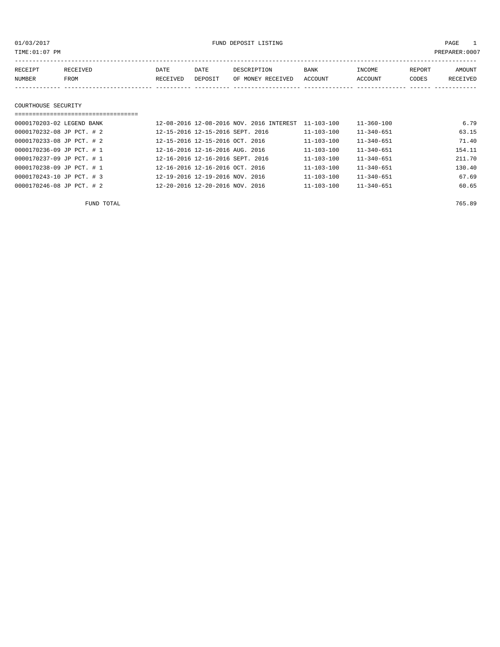01/03/2017 FUND DEPOSIT LISTING PAGE 1

| RECEIPT | <b>RECEIVED</b> | DATE     | DATE    | DESCRIPTION       | <b>BANK</b> | INCOME  | REPORT | AMOUNT          |
|---------|-----------------|----------|---------|-------------------|-------------|---------|--------|-----------------|
| NUMBER  | FROM            | RECEIVED | DEPOSIT | OF MONEY RECEIVED | ACCOUNT     | ACCOUNT | CODES  | <b>RECEIVED</b> |
|         |                 |          |         |                   |             |         |        |                 |

#### COURTHOUSE SECURITY

# =================================== 0000170203-02 LEGEND BANK 12-08-2016 12-08-2016 NOV. 2016 INTEREST 11-103-100 11-360-100 6.79 0000170232-08 JP PCT. # 2 12-15-2016 12-15-2016 SEPT. 2016 11-103-100 11-340-651 63.15 0000170233-08 JP PCT. # 2 12-15-2016 12-15-2016 OCT. 2016 11-103-100 11-340-651 71.40 0000170236-09 JP PCT. # 1 12-16-2016 12-16-2016 AUG. 2016 11-103-100 11-340-651 154.11 0000170237-09 JP PCT. # 1 12-16-2016 12-16-2016 SEPT. 2016 11-103-100 11-340-651 211.70 0000170238-09 JP PCT. # 1 12-16-2016 12-16-2016 OCT. 2016 11-103-100 11-340-651 130.40 0000170243-10 JP PCT. # 3 12-19-2016 12-19-2016 NOV. 2016 11-103-100 11-340-651 67.69 0000170246-08 JP PCT. # 2 12-20-2016 12-20-2016 NOV. 2016 11-103-100 11-340-651 60.65

FUND TOTAL 765.89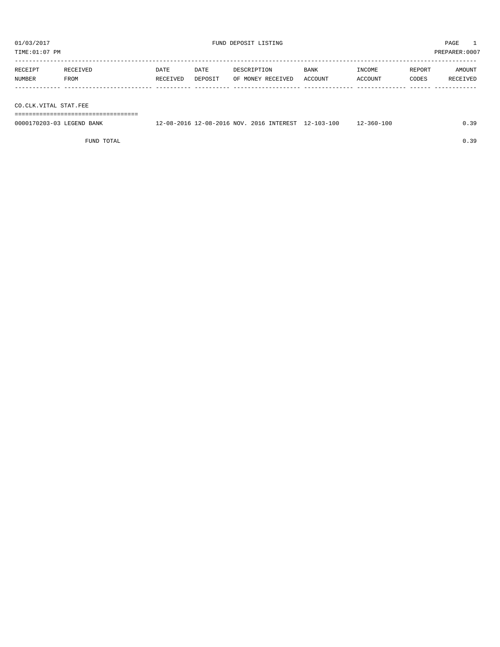TIME:01:07 PM PREPARER:0007 ----------------------------------------------------------------------------------------------------------------------------------- RECEIPT RECEIVED DATE DATE DESCRIPTION BANK INCOME REPORT AMOUNT NUMBER FROM RECEIVED DEPOSIT OF MONEY RECEIVED ACCOUNT ACCOUNT CODES RECEIVED ------------- ------------------------- ---------- ---------- ------------------- -------------- -------------- ------ ------------

CO.CLK.VITAL STAT.FEE

===================================

| 0000170203-03 LEGEND BANK | 12-08-2016 12-08-2016 NOV. 2016 INTEREST 12-103-100 |  | $12 - 360 - 100$ |  |
|---------------------------|-----------------------------------------------------|--|------------------|--|
|                           |                                                     |  |                  |  |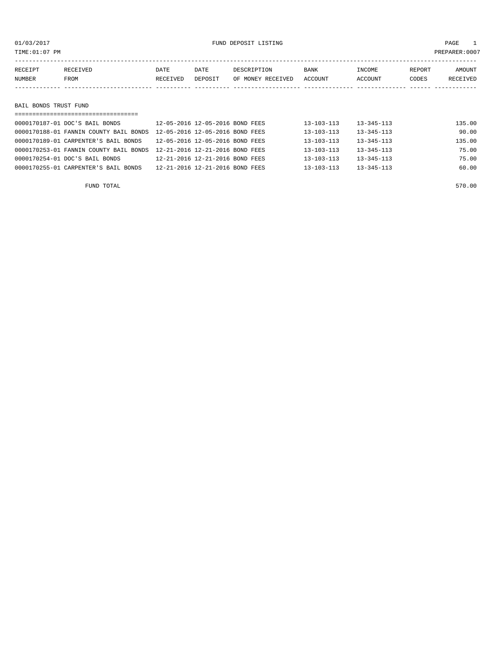| TIME: 01:07 PM        |                                        |                                 |                                 |                                  |                  |                   |                 | PREPARER:0007      |
|-----------------------|----------------------------------------|---------------------------------|---------------------------------|----------------------------------|------------------|-------------------|-----------------|--------------------|
| RECEIPT<br>NUMBER     | RECEIVED<br><b>FROM</b>                | DATE<br>RECEIVED                | DATE<br>DEPOSIT                 | DESCRIPTION<br>OF MONEY RECEIVED | BANK<br>ACCOUNT  | INCOME<br>ACCOUNT | REPORT<br>CODES | AMOUNT<br>RECEIVED |
|                       |                                        |                                 |                                 |                                  |                  |                   |                 |                    |
| BAIL BONDS TRUST FUND |                                        |                                 |                                 |                                  |                  |                   |                 |                    |
|                       |                                        |                                 |                                 |                                  |                  |                   |                 |                    |
|                       | 0000170187-01 DOC'S BAIL BONDS         |                                 | 12-05-2016 12-05-2016 BOND FEES |                                  | $13 - 103 - 113$ | $13 - 345 - 113$  |                 | 135.00             |
|                       | 0000170188-01 FANNIN COUNTY BAIL BONDS | 12-05-2016 12-05-2016 BOND FEES |                                 |                                  | $13 - 103 - 113$ | $13 - 345 - 113$  |                 | 90.00              |

| AAAATIAA AT LUMATA CAANTI DUNA TA AA GATA TA AA GATA DAMA LUUD         |                                 |                  |                  |        |
|------------------------------------------------------------------------|---------------------------------|------------------|------------------|--------|
| 0000170189-01 CARPENTER'S BAIL BONDS                                   | 12-05-2016 12-05-2016 BOND FEES | $13 - 103 - 113$ | $13 - 345 - 113$ | 135.00 |
| 0000170253-01 FANNIN COUNTY BAIL BONDS 12-21-2016 12-21-2016 BOND FEES |                                 | $13 - 103 - 113$ | $13 - 345 - 113$ | 75.00  |
| 0000170254-01 DOC'S BAIL BONDS                                         | 12-21-2016 12-21-2016 BOND FEES | 13-103-113       | $13 - 345 - 113$ | 75.00  |
| 0000170255-01 CARPENTER'S BAIL BONDS                                   | 12-21-2016 12-21-2016 BOND FEES | $13 - 103 - 113$ | $13 - 345 - 113$ | 60.00  |
|                                                                        |                                 |                  |                  |        |
|                                                                        |                                 |                  |                  |        |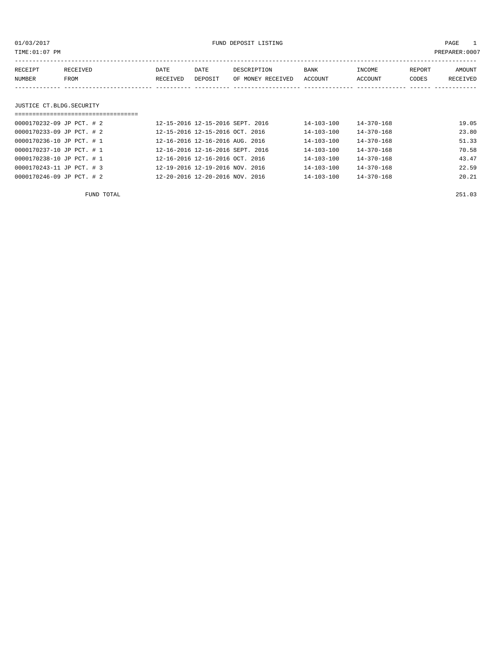| 01/03/2017<br>TIME:01:07 PM   |                  | FUND DEPOSIT LISTING |                                  |                                  |                  | PAGE<br>$\overline{1}$<br>PREPARER: 0007 |                 |                    |
|-------------------------------|------------------|----------------------|----------------------------------|----------------------------------|------------------|------------------------------------------|-----------------|--------------------|
| RECEIPT<br>NUMBER             | RECEIVED<br>FROM | DATE<br>RECEIVED     | DATE<br>DEPOSIT                  | DESCRIPTION<br>OF MONEY RECEIVED | BANK<br>ACCOUNT  | INCOME<br>ACCOUNT                        | REPORT<br>CODES | AMOUNT<br>RECEIVED |
| JUSTICE CT.BLDG.SECURITY      |                  |                      |                                  |                                  |                  |                                          |                 |                    |
| $0000170232 - 09$ JP PCT, # 2 |                  |                      | 12-15-2016 12-15-2016 SEPT. 2016 |                                  | $14 - 103 - 100$ | $14 - 370 - 168$                         |                 | 19.05              |
| 0000170233-09 JP PCT. # 2     |                  |                      | 12-15-2016 12-15-2016 OCT, 2016  |                                  | $14 - 103 - 100$ | $14 - 370 - 168$                         |                 | 23.80              |
| 0000170236-10 JP PCT. # 1     |                  |                      | 12-16-2016 12-16-2016 AUG. 2016  |                                  | $14 - 103 - 100$ | $14 - 370 - 168$                         |                 | 51.33              |
| 0000170237-10 JP PCT. # 1     |                  |                      | 12-16-2016 12-16-2016 SEPT. 2016 |                                  | 14-103-100       | $14 - 370 - 168$                         |                 | 70.58              |
| 0000170238-10 JP PCT. # 1     |                  |                      | 12-16-2016 12-16-2016 OCT. 2016  |                                  | $14 - 103 - 100$ | $14 - 370 - 168$                         |                 | 43.47              |

0000170243-11 JP PCT. # 3 12-19-2016 12-19-2016 NOV. 2016 14-103-100 14-370-168 22.59 0000170246-09 JP PCT. # 2 12-20-2016 12-20-2016 NOV. 2016 14-103-100 14-370-168 20.21

FUND TOTAL 251.03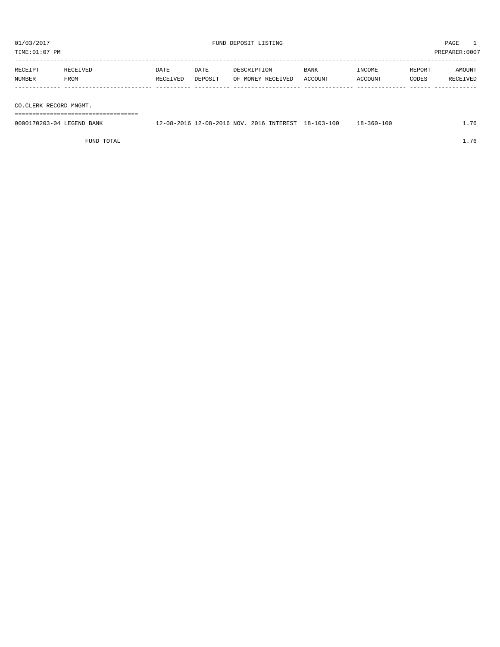01/03/2017 PAGE 1

| TIME: 01:07 PM            |          |         |                                          |             |                  |        | PREPARER:0007 |
|---------------------------|----------|---------|------------------------------------------|-------------|------------------|--------|---------------|
|                           |          |         |                                          |             |                  |        |               |
| RECEIVED<br>RECEIPT       | DATE     | DATE    | DESCRIPTION                              | <b>BANK</b> | INCOME           | REPORT | AMOUNT        |
| NUMBER<br>FROM            | RECEIVED | DEPOSIT | OF MONEY RECEIVED                        | ACCOUNT     | ACCOUNT          | CODES  | RECEIVED      |
|                           |          |         |                                          |             |                  |        |               |
|                           |          |         |                                          |             |                  |        |               |
| CO.CLERK RECORD MNGMT.    |          |         |                                          |             |                  |        |               |
|                           |          |         |                                          |             |                  |        |               |
| 0000170203-04 LEGEND BANK |          |         | 12-08-2016 12-08-2016 NOV. 2016 INTEREST | 18-103-100  | $18 - 360 - 100$ |        | 1.76          |
|                           |          |         |                                          |             |                  |        |               |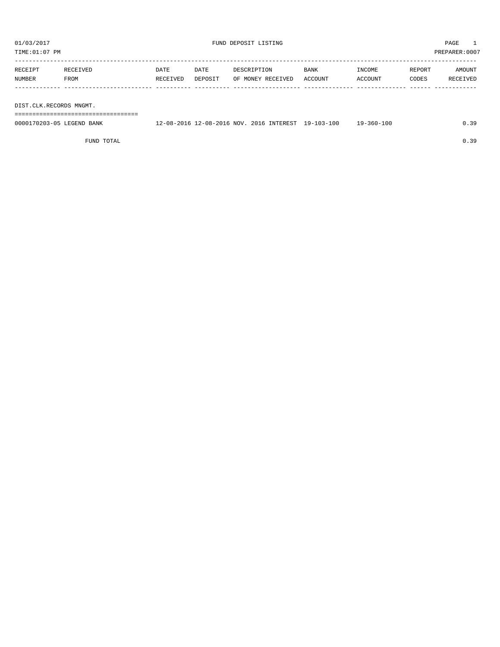TIME:01:07 PM PREPARER:0007

| RECEIPT | RECEIVED | <b>DATE</b> | DATE    | DESCRIPTION       | <b>BANK</b> | INCOME  | REPORT | AMOUNT   |
|---------|----------|-------------|---------|-------------------|-------------|---------|--------|----------|
| NUMBER  | FROM     | RECEIVED    | DEPOSIT | OF MONEY RECEIVED | ACCOUNT     | ACCOUNT | CODES  | RECEIVED |
|         |          |             |         |                   |             |         |        |          |
|         |          |             |         |                   |             |         |        |          |

DIST.CLK.RECORDS MNGMT.

===================================

| 0000170203-05 LEGEND BANK | 12-08-2016 12-08-2016 NOV. 2016 INTEREST 19-103-100 |  | $19 - 360 - 100$ |  |
|---------------------------|-----------------------------------------------------|--|------------------|--|
|                           |                                                     |  |                  |  |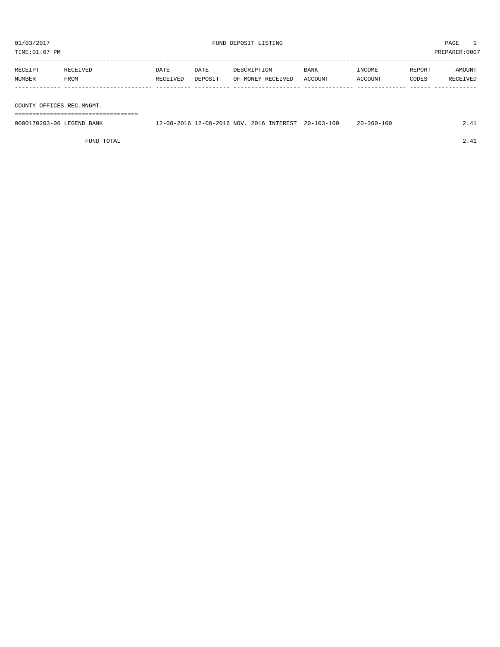TIME:01:07 PM PREPARER:0007

| RECEIPT                   | RECEIVED | <b>DATE</b> | DATE    | DESCRIPTION       | <b>BANK</b> | INCOME  | REPORT | AMOUNT   |
|---------------------------|----------|-------------|---------|-------------------|-------------|---------|--------|----------|
| NUMBER                    | FROM     | RECEIVED    | DEPOSIT | OF MONEY RECEIVED | ACCOUNT     | ACCOUNT | CODES  | RECEIVED |
|                           |          |             |         |                   |             |         |        |          |
|                           |          |             |         |                   |             |         |        |          |
| COUNTER CERTARS PRS MISME |          |             |         |                   |             |         |        |          |

COUNTY OFFICES REC.MNGMT.

===================================

| 0000170203-06 LEGEND BANK | $2 - 08 - 2016$ NOV.<br>12-08-2016 | INTEREST<br>2016 | $20 - 103 - 100$ | $20 - 360 - 100$ |  |
|---------------------------|------------------------------------|------------------|------------------|------------------|--|
|                           |                                    |                  |                  |                  |  |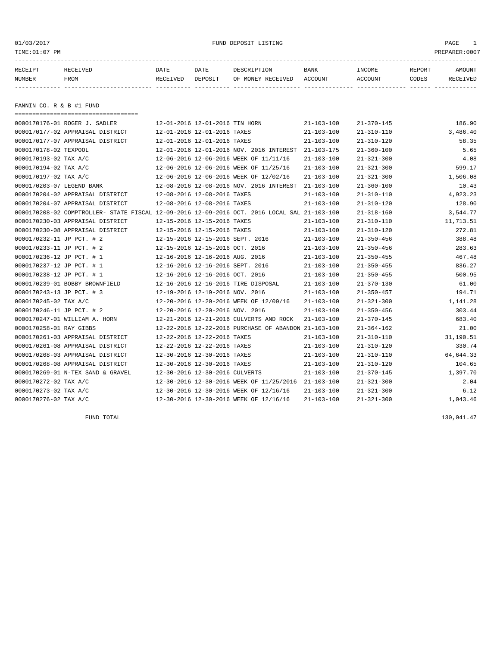01/03/2017 FUND DEPOSIT LISTING PAGE 1

| RECEIPT | RECEIVED | DATE     | DATE    | DESCRIPTION       | <b>BANK</b> | INCOME  | <b>REPORT</b> | AMOUNT          |
|---------|----------|----------|---------|-------------------|-------------|---------|---------------|-----------------|
| NUMBER  | FROM     | RECEIVED | DEPOSIT | OF MONEY RECEIVED | ACCOUNT     | ACCOUNT | CODES         | <b>RECEIVED</b> |
|         |          |          |         |                   |             |         |               |                 |

FANNIN CO. R & B #1 FUND

| ====================================== |                                                                                              |                  |                  |           |
|----------------------------------------|----------------------------------------------------------------------------------------------|------------------|------------------|-----------|
| 0000170176-01 ROGER J. SADLER          | 12-01-2016 12-01-2016 TIN HORN                                                               | $21 - 103 - 100$ | $21 - 370 - 145$ | 186.90    |
| 0000170177-02 APPRAISAL DISTRICT       | 12-01-2016 12-01-2016 TAXES                                                                  | $21 - 103 - 100$ | $21 - 310 - 110$ | 3,486.40  |
| 0000170177-07 APPRAISAL DISTRICT       | 12-01-2016 12-01-2016 TAXES                                                                  | $21 - 103 - 100$ | $21 - 310 - 120$ | 58.35     |
| 0000170178-02 TEXPOOL                  | 12-01-2016 12-01-2016 NOV. 2016 INTEREST                                                     | $21 - 103 - 175$ | $21 - 360 - 100$ | 5.65      |
| 0000170193-02 TAX A/C                  | 12-06-2016 12-06-2016 WEEK OF 11/11/16                                                       | $21 - 103 - 100$ | $21 - 321 - 300$ | 4.08      |
| 0000170194-02 TAX A/C                  | 12-06-2016 12-06-2016 WEEK OF 11/25/16                                                       | $21 - 103 - 100$ | $21 - 321 - 300$ | 599.17    |
| 0000170197-02 TAX A/C                  | 12-06-2016 12-06-2016 WEEK OF 12/02/16                                                       | $21 - 103 - 100$ | $21 - 321 - 300$ | 1,506.08  |
| 0000170203-07 LEGEND BANK              | 12-08-2016 12-08-2016 NOV. 2016 INTEREST                                                     | $21 - 103 - 100$ | $21 - 360 - 100$ | 10.43     |
| 0000170204-02 APPRAISAL DISTRICT       | 12-08-2016 12-08-2016 TAXES                                                                  | $21 - 103 - 100$ | $21 - 310 - 110$ | 4,923.23  |
| 0000170204-07 APPRAISAL DISTRICT       | 12-08-2016 12-08-2016 TAXES                                                                  | $21 - 103 - 100$ | $21 - 310 - 120$ | 128.90    |
|                                        | 0000170208-02 COMPTROLLER- STATE FISCAL 12-09-2016 12-09-2016 OCT. 2016 LOCAL SAL 21-103-100 |                  | $21 - 318 - 160$ | 3,544.77  |
| 0000170230-03 APPRAISAL DISTRICT       | 12-15-2016 12-15-2016 TAXES                                                                  | $21 - 103 - 100$ | $21 - 310 - 110$ | 11,713.51 |
| 0000170230-08 APPRAISAL DISTRICT       | 12-15-2016 12-15-2016 TAXES                                                                  | $21 - 103 - 100$ | $21 - 310 - 120$ | 272.81    |
| 0000170232-11 JP PCT. # 2              | 12-15-2016 12-15-2016 SEPT. 2016                                                             | $21 - 103 - 100$ | $21 - 350 - 456$ | 388.48    |
| 0000170233-11 JP PCT. # 2              | 12-15-2016 12-15-2016 OCT. 2016                                                              | $21 - 103 - 100$ | $21 - 350 - 456$ | 283.63    |
| 0000170236-12 JP PCT. # 1              | 12-16-2016 12-16-2016 AUG. 2016                                                              | $21 - 103 - 100$ | $21 - 350 - 455$ | 467.48    |
| 0000170237-12 JP PCT. # 1              | 12-16-2016 12-16-2016 SEPT. 2016                                                             | $21 - 103 - 100$ | $21 - 350 - 455$ | 836.27    |
| 0000170238-12 JP PCT. # 1              | 12-16-2016 12-16-2016 OCT. 2016                                                              | $21 - 103 - 100$ | $21 - 350 - 455$ | 500.95    |
| 0000170239-01 BOBBY BROWNFIELD         | 12-16-2016 12-16-2016 TIRE DISPOSAL                                                          | $21 - 103 - 100$ | $21 - 370 - 130$ | 61.00     |
| 0000170243-13 JP PCT. # 3              | 12-19-2016 12-19-2016 NOV. 2016                                                              | $21 - 103 - 100$ | $21 - 350 - 457$ | 194.71    |
| 0000170245-02 TAX A/C                  | 12-20-2016 12-20-2016 WEEK OF 12/09/16                                                       | $21 - 103 - 100$ | $21 - 321 - 300$ | 1,141.28  |
| 0000170246-11 JP PCT. # 2              | 12-20-2016 12-20-2016 NOV. 2016                                                              | $21 - 103 - 100$ | $21 - 350 - 456$ | 303.44    |
| 0000170247-01 WILLIAM A. HORN          | 12-21-2016 12-21-2016 CULVERTS AND ROCK                                                      | $21 - 103 - 100$ | $21 - 370 - 145$ | 683.40    |
| 0000170258-01 RAY GIBBS                | 12-22-2016 12-22-2016 PURCHASE OF ABANDON 21-103-100                                         |                  | $21 - 364 - 162$ | 21.00     |
| 0000170261-03 APPRAISAL DISTRICT       | 12-22-2016 12-22-2016 TAXES                                                                  | $21 - 103 - 100$ | $21 - 310 - 110$ | 31,190.51 |
| 0000170261-08 APPRAISAL DISTRICT       | 12-22-2016 12-22-2016 TAXES                                                                  | $21 - 103 - 100$ | $21 - 310 - 120$ | 330.74    |
| 0000170268-03 APPRAISAL DISTRICT       | 12-30-2016 12-30-2016 TAXES                                                                  | $21 - 103 - 100$ | $21 - 310 - 110$ | 64,644.33 |
| 0000170268-08 APPRAISAL DISTRICT       | 12-30-2016 12-30-2016 TAXES                                                                  | $21 - 103 - 100$ | $21 - 310 - 120$ | 104.65    |
| 0000170269-01 N-TEX SAND & GRAVEL      | 12-30-2016 12-30-2016 CULVERTS                                                               | $21 - 103 - 100$ | $21 - 370 - 145$ | 1,397.70  |
| 0000170272-02 TAX A/C                  | 12-30-2016 12-30-2016 WEEK OF 11/25/2016 21-103-100                                          |                  | $21 - 321 - 300$ | 2.04      |
| 0000170273-02 TAX A/C                  | 12-30-2016 12-30-2016 WEEK OF 12/16/16                                                       | $21 - 103 - 100$ | $21 - 321 - 300$ | 6.12      |
| 0000170276-02 TAX A/C                  | 12-30-2016 12-30-2016 WEEK OF 12/16/16                                                       | $21 - 103 - 100$ | $21 - 321 - 300$ | 1,043.46  |

FUND TOTAL 130,041.47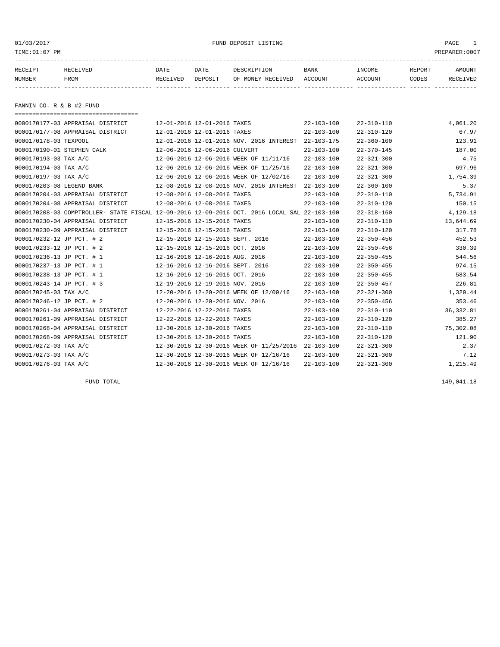01/03/2017 FUND DEPOSIT LISTING PAGE 1

| RECEIPT | RECEIVED | DATE     | DATE    | DESCRIPTION       | <b>BANK</b> | INCOME  | REPORT | AMOUNT          |
|---------|----------|----------|---------|-------------------|-------------|---------|--------|-----------------|
| NUMBER  | FROM     | RECEIVED | DEPOSIT | OF MONEY RECEIVED | ACCOUNT     | ACCOUNT | CODES  | <b>RECEIVED</b> |
|         |          |          |         |                   |             |         |        |                 |

FANNIN CO. R & B #2 FUND

| =====================================                                                        |                                  |                                  |                                          |                  |                  |            |
|----------------------------------------------------------------------------------------------|----------------------------------|----------------------------------|------------------------------------------|------------------|------------------|------------|
| 0000170177-03 APPRAISAL DISTRICT                                                             | 12-01-2016 12-01-2016 TAXES      |                                  |                                          | $22 - 103 - 100$ | $22 - 310 - 110$ | 4,061.20   |
| 0000170177-08 APPRAISAL DISTRICT                                                             | 12-01-2016 12-01-2016 TAXES      |                                  |                                          | $22 - 103 - 100$ | $22 - 310 - 120$ | 67.97      |
| 0000170178-03 TEXPOOL                                                                        |                                  |                                  | 12-01-2016 12-01-2016 NOV. 2016 INTEREST | $22 - 103 - 175$ | $22 - 360 - 100$ | 123.91     |
| 0000170190-01 STEPHEN CALK                                                                   | 12-06-2016 12-06-2016 CULVERT    |                                  |                                          | $22 - 103 - 100$ | $22 - 370 - 145$ | 187.00     |
| 0000170193-03 TAX A/C                                                                        |                                  |                                  | 12-06-2016 12-06-2016 WEEK OF 11/11/16   | $22 - 103 - 100$ | $22 - 321 - 300$ | 4.75       |
| 0000170194-03 TAX A/C                                                                        |                                  |                                  | 12-06-2016 12-06-2016 WEEK OF 11/25/16   | $22 - 103 - 100$ | $22 - 321 - 300$ | 697.96     |
| 0000170197-03 TAX A/C                                                                        |                                  |                                  | 12-06-2016 12-06-2016 WEEK OF 12/02/16   | $22 - 103 - 100$ | $22 - 321 - 300$ | 1,754.39   |
| 0000170203-08 LEGEND BANK                                                                    |                                  |                                  | 12-08-2016 12-08-2016 NOV. 2016 INTEREST | $22 - 103 - 100$ | $22 - 360 - 100$ | 5.37       |
| 0000170204-03 APPRAISAL DISTRICT                                                             |                                  | 12-08-2016 12-08-2016 TAXES      |                                          | $22 - 103 - 100$ | $22 - 310 - 110$ | 5,734.91   |
| 0000170204-08 APPRAISAL DISTRICT                                                             |                                  | 12-08-2016 12-08-2016 TAXES      |                                          | $22 - 103 - 100$ | $22 - 310 - 120$ | 150.15     |
| 0000170208-03 COMPTROLLER- STATE FISCAL 12-09-2016 12-09-2016 OCT. 2016 LOCAL SAL 22-103-100 |                                  |                                  |                                          |                  | $22 - 318 - 160$ | 4,129.18   |
| 0000170230-04 APPRAISAL DISTRICT                                                             |                                  | 12-15-2016 12-15-2016 TAXES      |                                          | $22 - 103 - 100$ | $22 - 310 - 110$ | 13,644.69  |
| 0000170230-09 APPRAISAL DISTRICT                                                             | 12-15-2016 12-15-2016 TAXES      |                                  |                                          | $22 - 103 - 100$ | $22 - 310 - 120$ | 317.78     |
| 0000170232-12 JP PCT. # 2                                                                    |                                  | 12-15-2016 12-15-2016 SEPT. 2016 |                                          | $22 - 103 - 100$ | $22 - 350 - 456$ | 452.53     |
| 0000170233-12 JP PCT. # 2                                                                    | 12-15-2016 12-15-2016 OCT. 2016  |                                  |                                          | $22 - 103 - 100$ | $22 - 350 - 456$ | 330.39     |
| 0000170236-13 JP PCT. # 1                                                                    | 12-16-2016 12-16-2016 AUG. 2016  |                                  |                                          | $22 - 103 - 100$ | $22 - 350 - 455$ | 544.56     |
| 0000170237-13 JP PCT. # 1                                                                    | 12-16-2016 12-16-2016 SEPT. 2016 |                                  |                                          | $22 - 103 - 100$ | $22 - 350 - 455$ | 974.15     |
| 0000170238-13 JP PCT. # 1                                                                    | 12-16-2016 12-16-2016 OCT. 2016  |                                  |                                          | $22 - 103 - 100$ | $22 - 350 - 455$ | 583.54     |
| 0000170243-14 JP PCT. # 3                                                                    | 12-19-2016 12-19-2016 NOV. 2016  |                                  |                                          | $22 - 103 - 100$ | $22 - 350 - 457$ | 226.81     |
| 0000170245-03 TAX A/C                                                                        |                                  |                                  | 12-20-2016 12-20-2016 WEEK OF 12/09/16   | $22 - 103 - 100$ | $22 - 321 - 300$ | 1,329.44   |
| 0000170246-12 JP PCT. # 2                                                                    | 12-20-2016 12-20-2016 NOV. 2016  |                                  |                                          | $22 - 103 - 100$ | $22 - 350 - 456$ | 353.46     |
| 0000170261-04 APPRAISAL DISTRICT                                                             |                                  | 12-22-2016 12-22-2016 TAXES      |                                          | $22 - 103 - 100$ | $22 - 310 - 110$ | 36, 332.81 |
| 0000170261-09 APPRAISAL DISTRICT                                                             |                                  | 12-22-2016 12-22-2016 TAXES      |                                          | $22 - 103 - 100$ | $22 - 310 - 120$ | 385.27     |
| 0000170268-04 APPRAISAL DISTRICT                                                             |                                  | 12-30-2016 12-30-2016 TAXES      |                                          | $22 - 103 - 100$ | $22 - 310 - 110$ | 75,302.08  |
| 0000170268-09 APPRAISAL DISTRICT                                                             | 12-30-2016 12-30-2016 TAXES      |                                  |                                          | $22 - 103 - 100$ | $22 - 310 - 120$ | 121.90     |
| 0000170272-03 TAX A/C                                                                        |                                  |                                  | 12-30-2016 12-30-2016 WEEK OF 11/25/2016 | 22-103-100       | $22 - 321 - 300$ | 2.37       |
| 0000170273-03 TAX A/C                                                                        |                                  |                                  | 12-30-2016 12-30-2016 WEEK OF 12/16/16   | $22 - 103 - 100$ | $22 - 321 - 300$ | 7.12       |
| 0000170276-03 TAX A/C                                                                        |                                  |                                  | 12-30-2016 12-30-2016 WEEK OF 12/16/16   | $22 - 103 - 100$ | $22 - 321 - 300$ | 1,215.49   |

FUND TOTAL  $149,041.18$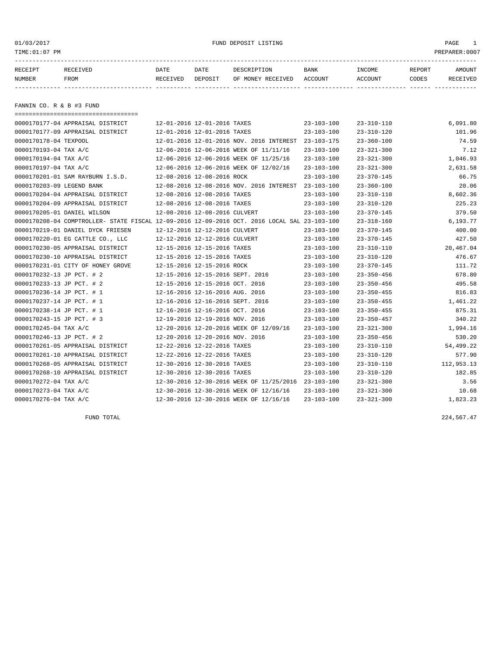01/03/2017 FUND DEPOSIT LISTING PAGE 1

| RECEIPT       | RECEIVED | DATE     | DATE    | DESCRIPTION               | <b>BANK</b> | <b>TNCOME</b> | REPORT | AMOUNT          |
|---------------|----------|----------|---------|---------------------------|-------------|---------------|--------|-----------------|
| <b>NUMBER</b> | FROM     | RECEIVED | DEPOSIT | OF MONEY RECEIVED ACCOUNT |             | ACCOUNT       | CODES  | <b>RECEIVED</b> |
|               |          |          |         |                           |             |               |        |                 |

FANNIN CO. R & B #3 FUND

| =====================================                                                        |                                  |                                                     |                  |                  |            |
|----------------------------------------------------------------------------------------------|----------------------------------|-----------------------------------------------------|------------------|------------------|------------|
| 0000170177-04 APPRAISAL DISTRICT                                                             | 12-01-2016 12-01-2016 TAXES      |                                                     | $23 - 103 - 100$ | $23 - 310 - 110$ | 6,091.80   |
| 0000170177-09 APPRAISAL DISTRICT                                                             | 12-01-2016 12-01-2016 TAXES      |                                                     | $23 - 103 - 100$ | $23 - 310 - 120$ | 101.96     |
| 0000170178-04 TEXPOOL                                                                        |                                  | 12-01-2016 12-01-2016 NOV. 2016 INTEREST            | 23-103-175       | $23 - 360 - 100$ | 74.59      |
| 0000170193-04 TAX A/C                                                                        |                                  | 12-06-2016 12-06-2016 WEEK OF 11/11/16              | $23 - 103 - 100$ | $23 - 321 - 300$ | 7.12       |
| 0000170194-04 TAX A/C                                                                        |                                  | 12-06-2016 12-06-2016 WEEK OF 11/25/16              | $23 - 103 - 100$ | $23 - 321 - 300$ | 1,046.93   |
| 0000170197-04 TAX A/C                                                                        |                                  | 12-06-2016 12-06-2016 WEEK OF 12/02/16              | $23 - 103 - 100$ | $23 - 321 - 300$ | 2,631.58   |
| 0000170201-01 SAM RAYBURN I.S.D.                                                             | 12-08-2016 12-08-2016 ROCK       |                                                     | $23 - 103 - 100$ | $23 - 370 - 145$ | 66.75      |
| 0000170203-09 LEGEND BANK                                                                    |                                  | 12-08-2016 12-08-2016 NOV. 2016 INTEREST 23-103-100 |                  | $23 - 360 - 100$ | 20.06      |
| 0000170204-04 APPRAISAL DISTRICT                                                             | 12-08-2016 12-08-2016 TAXES      |                                                     | $23 - 103 - 100$ | $23 - 310 - 110$ | 8,602.36   |
| 0000170204-09 APPRAISAL DISTRICT                                                             | 12-08-2016 12-08-2016 TAXES      |                                                     | $23 - 103 - 100$ | $23 - 310 - 120$ | 225.23     |
| 0000170205-01 DANIEL WILSON                                                                  | 12-08-2016 12-08-2016 CULVERT    |                                                     | $23 - 103 - 100$ | $23 - 370 - 145$ | 379.50     |
| 0000170208-04 COMPTROLLER- STATE FISCAL 12-09-2016 12-09-2016 OCT. 2016 LOCAL SAL 23-103-100 |                                  |                                                     |                  | $23 - 318 - 160$ | 6,193.77   |
| 0000170219-01 DANIEL DYCK FRIESEN                                                            | 12-12-2016 12-12-2016 CULVERT    |                                                     | $23 - 103 - 100$ | $23 - 370 - 145$ | 400.00     |
| 0000170220-01 EG CATTLE CO., LLC                                                             | 12-12-2016 12-12-2016 CULVERT    |                                                     | $23 - 103 - 100$ | $23 - 370 - 145$ | 427.50     |
| 0000170230-05 APPRAISAL DISTRICT                                                             | 12-15-2016 12-15-2016 TAXES      |                                                     | $23 - 103 - 100$ | $23 - 310 - 110$ | 20,467.04  |
| 0000170230-10 APPRAISAL DISTRICT                                                             | 12-15-2016 12-15-2016 TAXES      |                                                     | 23-103-100       | $23 - 310 - 120$ | 476.67     |
| 0000170231-01 CITY OF HONEY GROVE                                                            | 12-15-2016 12-15-2016 ROCK       |                                                     | $23 - 103 - 100$ | $23 - 370 - 145$ | 111.72     |
| 0000170232-13 JP PCT. # 2                                                                    | 12-15-2016 12-15-2016 SEPT. 2016 |                                                     | $23 - 103 - 100$ | $23 - 350 - 456$ | 678.80     |
| 0000170233-13 JP PCT. # 2                                                                    | 12-15-2016 12-15-2016 OCT. 2016  |                                                     | $23 - 103 - 100$ | $23 - 350 - 456$ | 495.58     |
| 0000170236-14 JP PCT. # 1                                                                    | 12-16-2016 12-16-2016 AUG. 2016  |                                                     | $23 - 103 - 100$ | $23 - 350 - 455$ | 816.83     |
| 0000170237-14 JP PCT. # 1                                                                    | 12-16-2016 12-16-2016 SEPT. 2016 |                                                     | 23-103-100       | $23 - 350 - 455$ | 1,461.22   |
| 0000170238-14 JP PCT. # 1                                                                    | 12-16-2016 12-16-2016 OCT. 2016  |                                                     | $23 - 103 - 100$ | $23 - 350 - 455$ | 875.31     |
| 0000170243-15 JP PCT. # 3                                                                    | 12-19-2016 12-19-2016 NOV. 2016  |                                                     | $23 - 103 - 100$ | $23 - 350 - 457$ | 340.22     |
| 0000170245-04 TAX A/C                                                                        |                                  | 12-20-2016 12-20-2016 WEEK OF 12/09/16              | $23 - 103 - 100$ | $23 - 321 - 300$ | 1,994.16   |
| 0000170246-13 JP PCT. # 2                                                                    | 12-20-2016 12-20-2016 NOV. 2016  |                                                     | $23 - 103 - 100$ | $23 - 350 - 456$ | 530.20     |
| 0000170261-05 APPRAISAL DISTRICT                                                             | 12-22-2016 12-22-2016 TAXES      |                                                     | $23 - 103 - 100$ | $23 - 310 - 110$ | 54,499.22  |
| 0000170261-10 APPRAISAL DISTRICT                                                             | 12-22-2016 12-22-2016 TAXES      |                                                     | $23 - 103 - 100$ | $23 - 310 - 120$ | 577.90     |
| 0000170268-05 APPRAISAL DISTRICT                                                             | 12-30-2016 12-30-2016 TAXES      |                                                     | 23-103-100       | $23 - 310 - 110$ | 112,953.13 |
| 0000170268-10 APPRAISAL DISTRICT                                                             | 12-30-2016 12-30-2016 TAXES      |                                                     | $23 - 103 - 100$ | $23 - 310 - 120$ | 182.85     |
| 0000170272-04 TAX A/C                                                                        |                                  | 12-30-2016 12-30-2016 WEEK OF 11/25/2016 23-103-100 |                  | $23 - 321 - 300$ | 3.56       |
| 0000170273-04 TAX A/C                                                                        |                                  | 12-30-2016 12-30-2016 WEEK OF 12/16/16              | $23 - 103 - 100$ | $23 - 321 - 300$ | 10.68      |
| 0000170276-04 TAX A/C                                                                        |                                  | 12-30-2016 12-30-2016 WEEK OF 12/16/16              | $23 - 103 - 100$ | $23 - 321 - 300$ | 1,823.23   |

FUND TOTAL 224,567.47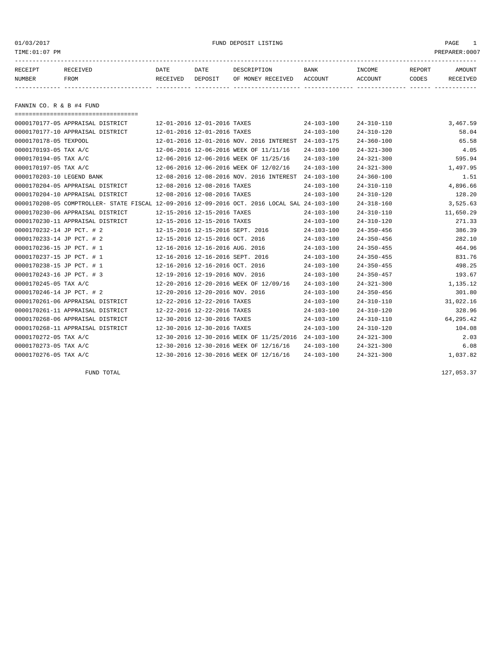01/03/2017 FUND DEPOSIT LISTING PAGE 1

| RECEIPT | RECEIVED | DATE     | DATE    | DESCRIPTION       | <b>BANK</b> | INCOME  | REPORT | AMOUNT          |
|---------|----------|----------|---------|-------------------|-------------|---------|--------|-----------------|
| NUMBER  | FROM     | RECEIVED | DEPOSIT | OF MONEY RECEIVED | ACCOUNT     | ACCOUNT | CODES  | <b>RECEIVED</b> |
|         |          |          |         |                   |             |         |        |                 |

FANNIN CO. R & B #4 FUND

| =====================================                                                        |                                          |                  |                  |           |
|----------------------------------------------------------------------------------------------|------------------------------------------|------------------|------------------|-----------|
| 0000170177-05 APPRAISAL DISTRICT                                                             | 12-01-2016 12-01-2016 TAXES              | $24 - 103 - 100$ | $24 - 310 - 110$ | 3,467.59  |
| 0000170177-10 APPRAISAL DISTRICT                                                             | 12-01-2016 12-01-2016 TAXES              | $24 - 103 - 100$ | $24 - 310 - 120$ | 58.04     |
| 0000170178-05 TEXPOOL                                                                        | 12-01-2016 12-01-2016 NOV. 2016 INTEREST | $24 - 103 - 175$ | $24 - 360 - 100$ | 65.58     |
| 0000170193-05 TAX A/C                                                                        | 12-06-2016 12-06-2016 WEEK OF 11/11/16   | $24 - 103 - 100$ | $24 - 321 - 300$ | 4.05      |
| 0000170194-05 TAX A/C                                                                        | 12-06-2016 12-06-2016 WEEK OF 11/25/16   | $24 - 103 - 100$ | $24 - 321 - 300$ | 595.94    |
| 0000170197-05 TAX A/C                                                                        | 12-06-2016 12-06-2016 WEEK OF 12/02/16   | $24 - 103 - 100$ | $24 - 321 - 300$ | 1,497.95  |
| 0000170203-10 LEGEND BANK                                                                    | 12-08-2016 12-08-2016 NOV. 2016 INTEREST | $24 - 103 - 100$ | $24 - 360 - 100$ | 1.51      |
| 0000170204-05 APPRAISAL DISTRICT                                                             | 12-08-2016 12-08-2016 TAXES              | $24 - 103 - 100$ | $24 - 310 - 110$ | 4,896.66  |
| 0000170204-10 APPRAISAL DISTRICT                                                             | 12-08-2016 12-08-2016 TAXES              | $24 - 103 - 100$ | $24 - 310 - 120$ | 128.20    |
| 0000170208-05 COMPTROLLER- STATE FISCAL 12-09-2016 12-09-2016 OCT. 2016 LOCAL SAL 24-103-100 |                                          |                  | $24 - 318 - 160$ | 3,525.63  |
| 0000170230-06 APPRAISAL DISTRICT                                                             | 12-15-2016 12-15-2016 TAXES              | $24 - 103 - 100$ | $24 - 310 - 110$ | 11,650.29 |
| 0000170230-11 APPRAISAL DISTRICT                                                             | 12-15-2016 12-15-2016 TAXES              | $24 - 103 - 100$ | $24 - 310 - 120$ | 271.33    |
| 0000170232-14 JP PCT. # 2                                                                    | 12-15-2016 12-15-2016 SEPT. 2016         | $24 - 103 - 100$ | $24 - 350 - 456$ | 386.39    |
| 0000170233-14 JP PCT. # 2                                                                    | 12-15-2016 12-15-2016 OCT. 2016          | $24 - 103 - 100$ | $24 - 350 - 456$ | 282.10    |
| 0000170236-15 JP PCT. # 1                                                                    | 12-16-2016 12-16-2016 AUG. 2016          | $24 - 103 - 100$ | $24 - 350 - 455$ | 464.96    |
| 0000170237-15 JP PCT. # 1                                                                    | 12-16-2016 12-16-2016 SEPT. 2016         | $24 - 103 - 100$ | $24 - 350 - 455$ | 831.76    |
| 0000170238-15 JP PCT. # 1                                                                    | 12-16-2016 12-16-2016 OCT. 2016          | $24 - 103 - 100$ | $24 - 350 - 455$ | 498.25    |
| 0000170243-16 JP PCT. # 3                                                                    | 12-19-2016 12-19-2016 NOV. 2016          | $24 - 103 - 100$ | $24 - 350 - 457$ | 193.67    |
| 0000170245-05 TAX A/C                                                                        | 12-20-2016 12-20-2016 WEEK OF 12/09/16   | $24 - 103 - 100$ | $24 - 321 - 300$ | 1,135.12  |
| 0000170246-14 JP PCT. # 2                                                                    | 12-20-2016 12-20-2016 NOV. 2016          | $24 - 103 - 100$ | $24 - 350 - 456$ | 301.80    |
| 0000170261-06 APPRAISAL DISTRICT                                                             | 12-22-2016 12-22-2016 TAXES              | $24 - 103 - 100$ | $24 - 310 - 110$ | 31,022.16 |
| 0000170261-11 APPRAISAL DISTRICT                                                             | 12-22-2016 12-22-2016 TAXES              | $24 - 103 - 100$ | $24 - 310 - 120$ | 328.96    |
| 0000170268-06 APPRAISAL DISTRICT                                                             | 12-30-2016 12-30-2016 TAXES              | $24 - 103 - 100$ | $24 - 310 - 110$ | 64,295.42 |
| 0000170268-11 APPRAISAL DISTRICT                                                             | 12-30-2016 12-30-2016 TAXES              | $24 - 103 - 100$ | $24 - 310 - 120$ | 104.08    |
| 0000170272-05 TAX A/C                                                                        | 12-30-2016 12-30-2016 WEEK OF 11/25/2016 | $24 - 103 - 100$ | $24 - 321 - 300$ | 2.03      |
| 0000170273-05 TAX A/C                                                                        | 12-30-2016 12-30-2016 WEEK OF 12/16/16   | $24 - 103 - 100$ | $24 - 321 - 300$ | 6.08      |
| 0000170276-05 TAX A/C                                                                        | 12-30-2016 12-30-2016 WEEK OF 12/16/16   | $24 - 103 - 100$ | $24 - 321 - 300$ | 1,037.82  |

FUND TOTAL 127,053.37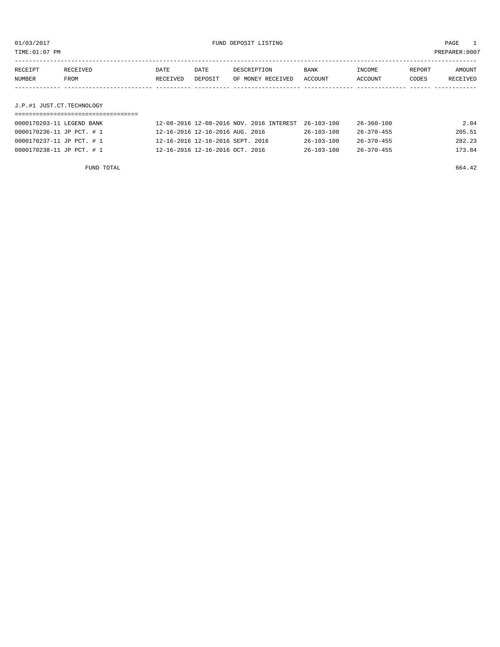TIME:01:07 PM PREPARER:0007

| RECEIPT                   | RECEIVED | <b>DATE</b> | DATE    | DESCRIPTION       | BANK    | INCOME  | REPORT | AMOUNT   |
|---------------------------|----------|-------------|---------|-------------------|---------|---------|--------|----------|
| NUMBER                    | FROM     | RECEIVED    | DEPOSIT | OF MONEY RECEIVED | ACCOUNT | ACCOUNT | CODES  | RECEIVED |
|                           |          |             |         |                   |         |         |        |          |
|                           |          |             |         |                   |         |         |        |          |
| J.P.#1 JUST.CT.TECHNOLOGY |          |             |         |                   |         |         |        |          |

| 0000170203-11 LEGEND BANK | 12-08-2016 12-08-2016 NOV. 2016 INTEREST 26-103-100 |                  | 26-360-100       | 2.84   |
|---------------------------|-----------------------------------------------------|------------------|------------------|--------|
| 0000170236-11 JP PCT. # 1 | 12-16-2016 12-16-2016 AUG. 2016                     | 26-103-100       | 26-370-455       | 205.51 |
| 0000170237-11 JP PCT. # 1 | 12-16-2016 12-16-2016 SEPT. 2016                    | $26 - 103 - 100$ | $26 - 370 - 455$ | 282.23 |
| 0000170238-11 JP PCT. # 1 | 12-16-2016 12-16-2016 OCT. 2016                     | $26 - 103 - 100$ | $26 - 370 - 455$ | 173.84 |

FUND TOTAL 664.42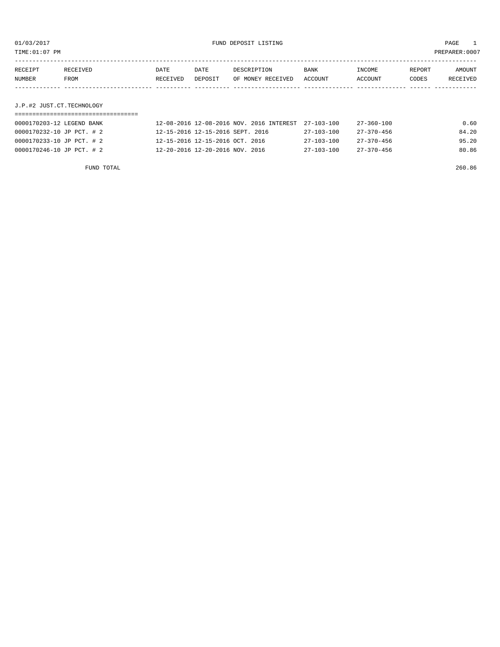TIME:01:07 PM PREPARER:0007

| RECEIPT | RECEIVED | DATE     | DATE    | DESCRIPTION       | BANK    | INCOME  | REPORT | AMOUNT   |
|---------|----------|----------|---------|-------------------|---------|---------|--------|----------|
| NUMBER  | FROM     | RECEIVED | DEPOSIT | OF MONEY RECEIVED | ACCOUNT | ACCOUNT | CODES  | RECEIVED |
|         |          |          |         |                   |         |         |        |          |
|         |          |          |         |                   |         |         |        |          |

# J.P.#2 JUST.CT.TECHNOLOGY

| 0000170203-12 LEGEND BANK | 12-08-2016 12-08-2016 NOV. 2016 INTEREST 27-103-100 |            | 27-360-100       | 0.60  |
|---------------------------|-----------------------------------------------------|------------|------------------|-------|
| 0000170232-10 JP PCT. # 2 | 12-15-2016 12-15-2016 SEPT. 2016                    | 27-103-100 | $27 - 370 - 456$ | 84.20 |
| 0000170233-10 JP PCT. # 2 | 12-15-2016 12-15-2016 OCT. 2016                     | 27-103-100 | $27 - 370 - 456$ | 95.20 |
| 0000170246-10 JP PCT. # 2 | 12-20-2016 12-20-2016 NOV. 2016                     | 27-103-100 | 27-370-456       | 80.86 |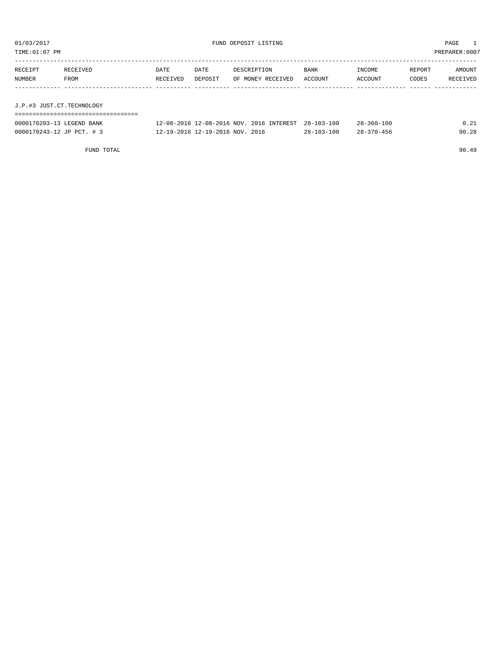| TIME: 01:07 PM            |                  |                  |                                 |                                          |  |                        |                   |                 | PREPARER:0007      |  |
|---------------------------|------------------|------------------|---------------------------------|------------------------------------------|--|------------------------|-------------------|-----------------|--------------------|--|
| RECEIPT<br>NUMBER         | RECEIVED<br>FROM | DATE<br>RECEIVED | DATE<br>DEPOSIT                 | DESCRIPTION<br>OF MONEY RECEIVED         |  | <b>BANK</b><br>ACCOUNT | INCOME<br>ACCOUNT | REPORT<br>CODES | AMOUNT<br>RECEIVED |  |
|                           |                  |                  |                                 |                                          |  |                        |                   |                 |                    |  |
| J.P.#3 JUST.CT.TECHNOLOGY |                  |                  |                                 |                                          |  |                        |                   |                 |                    |  |
|                           |                  |                  |                                 |                                          |  |                        |                   |                 |                    |  |
| 0000170203-13 LEGEND BANK |                  |                  |                                 | 12-08-2016 12-08-2016 NOV, 2016 INTEREST |  | $28 - 103 - 100$       | $28 - 360 - 100$  |                 | 0.21               |  |
| 0000170243-12 JP PCT. # 3 |                  |                  | 12-19-2016 12-19-2016 NOV. 2016 |                                          |  | $28 - 103 - 100$       | $28 - 370 - 456$  |                 | 90.28              |  |
|                           |                  |                  |                                 |                                          |  |                        |                   |                 |                    |  |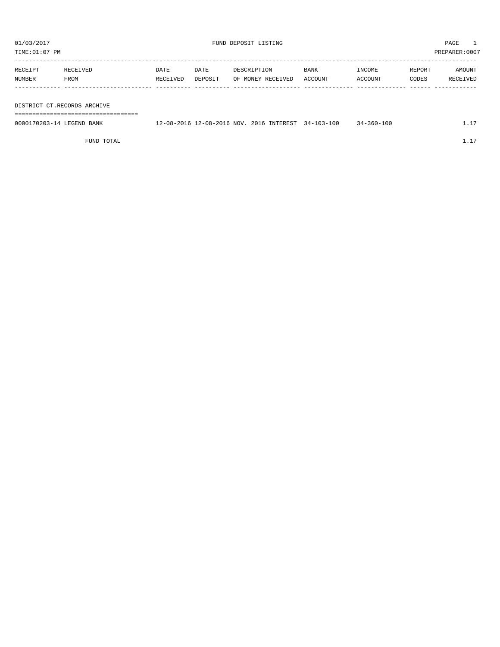TIME:01:07 PM PREPARER:0007

| RECEIPT | RECEIVED | DATE     | <b>DATE</b> | DESCRIPTION       | <b>BANK</b> | INCOME  | REPORT | AMOUNT   |
|---------|----------|----------|-------------|-------------------|-------------|---------|--------|----------|
| NUMBER  | FROM     | RECEIVED | DEPOSIT     | OF MONEY RECEIVED | ACCOUNT     | ACCOUNT | CODES  | RECEIVED |
|         |          |          |             |                   |             |         |        |          |

DISTRICT CT.RECORDS ARCHIVE

===================================

| 0000170203-14 LEGEND BANK | 12-08-2016 12-08-2016 NOV. 2016 INTEREST 34-103-100 |  | $34 - 360 - 100$ | 1.17 |
|---------------------------|-----------------------------------------------------|--|------------------|------|
|                           |                                                     |  |                  |      |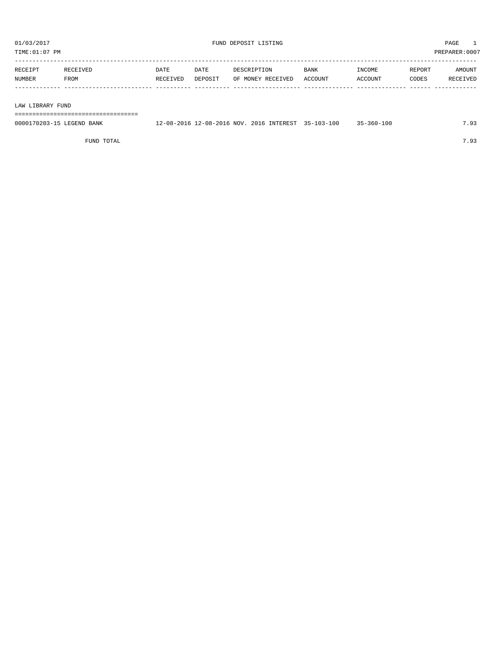| PREPARER: 0007<br>TIME:01:07 PM |                  |                  |                 |                                  |                        |                   |                 |                    |
|---------------------------------|------------------|------------------|-----------------|----------------------------------|------------------------|-------------------|-----------------|--------------------|
| RECEIPT<br>NUMBER               | RECEIVED<br>FROM | DATE<br>RECEIVED | DATE<br>DEPOSIT | DESCRIPTION<br>OF MONEY RECEIVED | <b>BANK</b><br>ACCOUNT | INCOME<br>ACCOUNT | REPORT<br>CODES | AMOUNT<br>RECEIVED |
|                                 |                  |                  |                 |                                  |                        |                   |                 |                    |

LAW LIBRARY FUND

===================================

| 0000170203-15 LEGEND BANK | 12-08-2016 12-08-2016 NOV. 2016 INTEREST 35-103-100 |  | 35-360-100 | 7.93 |
|---------------------------|-----------------------------------------------------|--|------------|------|
|                           |                                                     |  |            |      |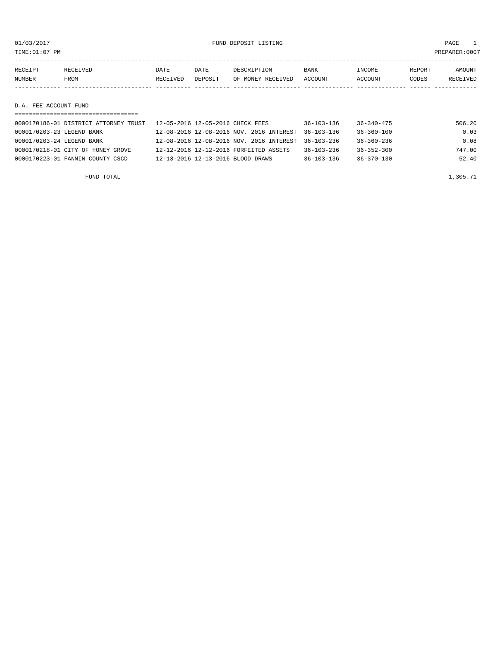01/03/2017 FUND DEPOSIT LISTING PAGE 1

| RECEIPT | RECEIVED              | DATE     | DATE    | DESCRIPTION       | <b>BANK</b> | INCOME  | REPORT | <b>AMOUNT</b> |  |  |  |
|---------|-----------------------|----------|---------|-------------------|-------------|---------|--------|---------------|--|--|--|
| NUMBER  | FROM                  | RECEIVED | DEPOSIT | OF MONEY RECEIVED | ACCOUNT     | ACCOUNT | CODES  | RECEIVED      |  |  |  |
|         |                       |          |         |                   |             |         |        |               |  |  |  |
|         |                       |          |         |                   |             |         |        |               |  |  |  |
|         | D.A. FEE ACCOUNT FUND |          |         |                   |             |         |        |               |  |  |  |

| 0000170186-01 DISTRICT ATTORNEY TRUST | 12-05-2016 12-05-2016 CHECK FEES         | $36 - 103 - 136$ | $36 - 340 - 475$ | 506.20 |  |  |  |  |  |
|---------------------------------------|------------------------------------------|------------------|------------------|--------|--|--|--|--|--|
| 0000170203-23 LEGEND BANK             | 12-08-2016 12-08-2016 NOV. 2016 INTEREST | $36 - 103 - 136$ | $36 - 360 - 100$ | 0.03   |  |  |  |  |  |
| 0000170203-24 LEGEND BANK             | 12-08-2016 12-08-2016 NOV. 2016 INTEREST | $36 - 103 - 236$ | $36 - 360 - 236$ | 0.08   |  |  |  |  |  |
| 0000170218-01 CITY OF HONEY GROVE     | 12-12-2016 12-12-2016 FORFEITED ASSETS   | $36 - 103 - 236$ | $36 - 352 - 300$ | 747.00 |  |  |  |  |  |
| 0000170223-01 FANNIN COUNTY CSCD      | 12-13-2016 12-13-2016 BLOOD DRAWS        | $36 - 103 - 136$ | $36 - 370 - 130$ | 52.40  |  |  |  |  |  |
|                                       |                                          |                  |                  |        |  |  |  |  |  |

FUND TOTAL  $1,305.71$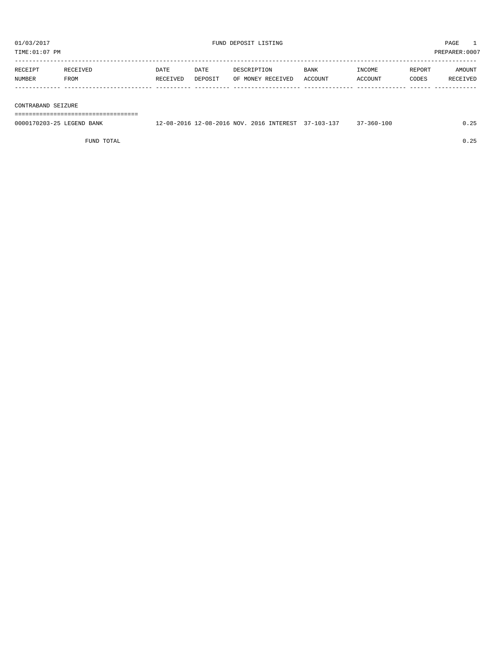| TIME: 01:07 PM |                    |          |             |         |                   |             | PREPARER:0007 |        |          |  |  |
|----------------|--------------------|----------|-------------|---------|-------------------|-------------|---------------|--------|----------|--|--|
|                |                    |          |             |         |                   |             |               |        |          |  |  |
|                | RECEIPT            | RECEIVED | <b>DATE</b> | DATE    | DESCRIPTION       | <b>BANK</b> | INCOME        | REPORT | AMOUNT   |  |  |
|                | NUMBER             | FROM     | RECEIVED    | DEPOSIT | OF MONEY RECEIVED | ACCOUNT     | ACCOUNT       | CODES  | RECEIVED |  |  |
|                |                    |          |             |         |                   |             |               |        |          |  |  |
|                |                    |          |             |         |                   |             |               |        |          |  |  |
|                | CONTRABAND SEIZURE |          |             |         |                   |             |               |        |          |  |  |
|                |                    |          |             |         |                   |             |               |        |          |  |  |

0000170203-25 LEGEND BANK 12-08-2016 12-08-2016 NOV. 2016 INTEREST 37-103-137 37-360-100 0.25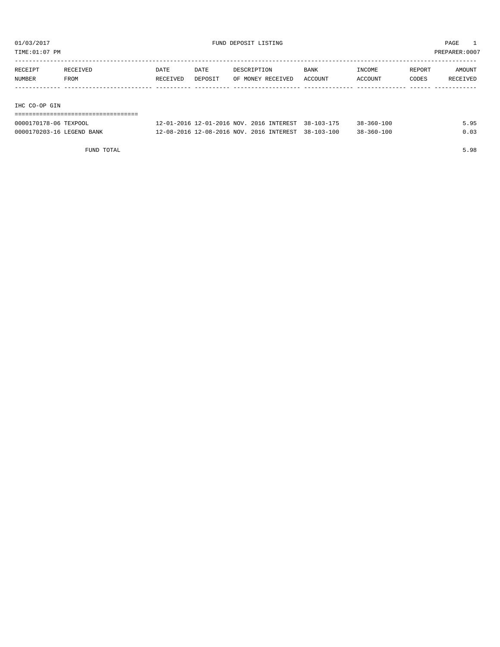TIME:01:07 PM PREPARER:0007

| RECEIPT | RECEIVED | DATE     | DATE    | DESCRIPTION       | BANK    | INCOME  | REPORT | AMOUNT   |
|---------|----------|----------|---------|-------------------|---------|---------|--------|----------|
| NUMBER  | FROM     | RECEIVED | DEPOSIT | OF MONEY RECEIVED | ACCOUNT | ACCOUNT | CODES  | RECEIVED |
|         |          |          |         |                   |         |         |        |          |
|         |          |          |         |                   |         |         |        |          |

#### IHC CO-OP GIN

| ------------------------------------<br>------------------------------ |                                                     |  |                  |      |
|------------------------------------------------------------------------|-----------------------------------------------------|--|------------------|------|
| 0000170178-06 TEXPOOL                                                  | 12-01-2016 12-01-2016 NOV. 2016 INTEREST 38-103-175 |  | $38 - 360 - 100$ | 5.95 |
| 0000170203-16 LEGEND BANK                                              | 12-08-2016 12-08-2016 NOV. 2016 INTEREST 38-103-100 |  | $38 - 360 - 100$ | 0.03 |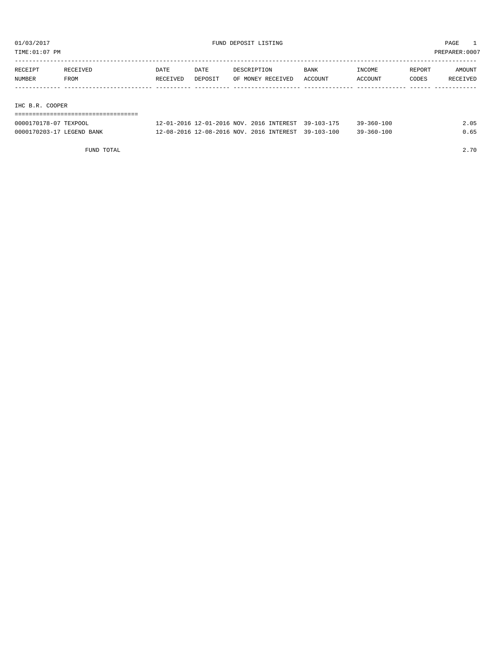TIME:01:07 PM PREPARER:0007

| RECEIPT | RECEIVED | DATE     | DATE    | DESCRIPTION       | <b>BANK</b> | INCOME  | REPORT | AMOUNT   |
|---------|----------|----------|---------|-------------------|-------------|---------|--------|----------|
| NUMBER  | FROM     | RECEIVED | DEPOSIT | OF MONEY RECEIVED | ACCOUNT     | ACCOUNT | CODES  | RECEIVED |
|         |          |          |         |                   |             |         |        |          |
|         |          |          |         |                   |             |         |        |          |

#### IHC B.R. COOPER

| ----------------------    |                                                     |  |                  |      |
|---------------------------|-----------------------------------------------------|--|------------------|------|
| 0000170178-07 TEXPOOL     | 12-01-2016 12-01-2016 NOV. 2016 INTEREST 39-103-175 |  | $39 - 360 - 100$ | 2.05 |
| 0000170203-17 LEGEND BANK | 12-08-2016 12-08-2016 NOV, 2016 INTEREST 39-103-100 |  | $39 - 360 - 100$ | 0.65 |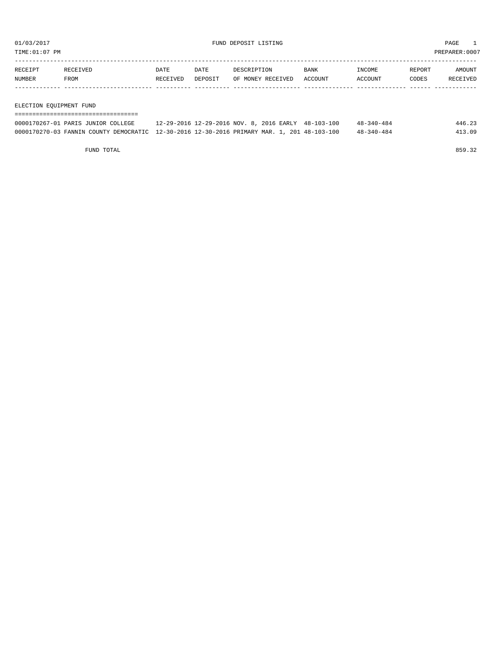TIME:01:07 PM PREPARER:0007

| RECEIPT | RECEIVED | DATE     | DATE    | DESCRIPTION       | <b>BANK</b> | INCOME         | REPORT | AMOUNT   |
|---------|----------|----------|---------|-------------------|-------------|----------------|--------|----------|
| NUMBER  | FROM     | RECEIVED | DEPOSIT | OF MONEY RECEIVED | ACCOUNT     | <b>ACCOUNT</b> | CODES  | RECEIVED |
|         |          |          |         |                   |             |                |        |          |
|         |          |          |         |                   |             |                |        |          |

#### ELECTION EQUIPMENT FUND

| ------------------------------------                                                        |                                                     |  |                  |        |
|---------------------------------------------------------------------------------------------|-----------------------------------------------------|--|------------------|--------|
| 0000170267-01 PARIS JUNIOR COLLEGE                                                          | 12-29-2016 12-29-2016 NOV. 8, 2016 EARLY 48-103-100 |  | $48 - 340 - 484$ | 446.23 |
| 0000170270-03 FANNIN COUNTY DEMOCRATIC 12-30-2016 12-30-2016 PRIMARY MAR, 1, 201 48-103-100 |                                                     |  | $48 - 340 - 484$ | 413.09 |

FUND TOTAL 859.32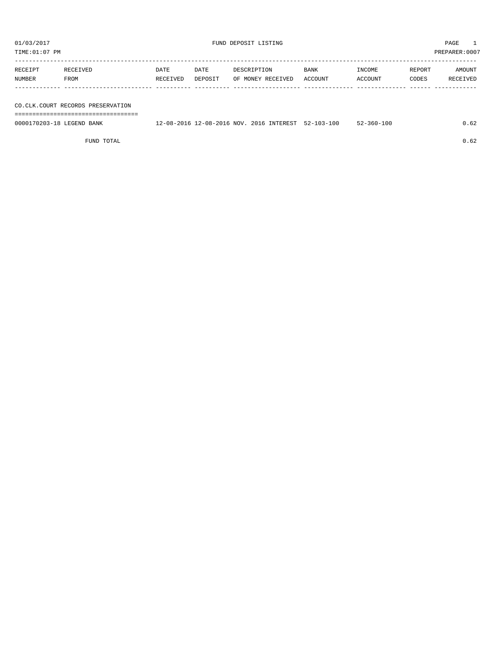TIME:01:07 PM PREPARER:0007

| RECEIPT | RECEIVED    | DATE     | DATE    | DESCRIPTION       | <b>BANK</b> | INCOME  | REPORT | AMOUNT   |
|---------|-------------|----------|---------|-------------------|-------------|---------|--------|----------|
| NUMBER  | <b>FROM</b> | RECEIVED | DEPOSIT | OF MONEY RECEIVED | ACCOUNT     | ACCOUNT | CODES  | RECEIVED |
|         |             |          |         |                   |             |         |        |          |
|         |             |          |         |                   |             |         |        |          |

# CO.CLK.COURT RECORDS PRESERVATION

===================================

0000170203-18 LEGEND BANK 12-08-2016 12-08-2016 NOV. 2016 INTEREST 52-103-100 52-360-100 0.62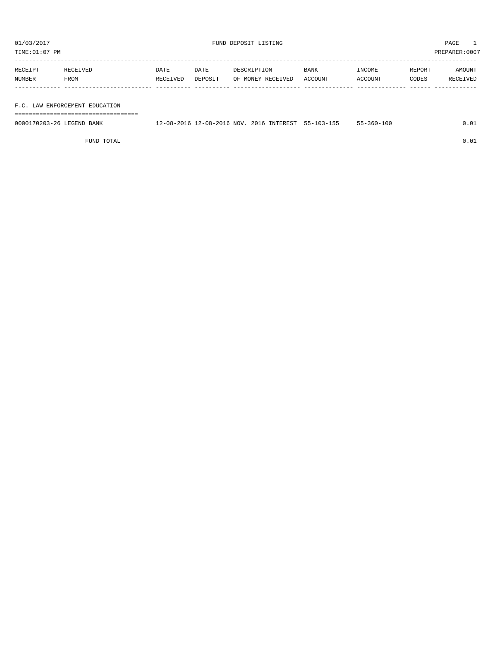TIME:01:07 PM PREPARER:0007

| RECEIPT | RECEIVED | <b>DATE</b> | DATE    | DESCRIPTION       | <b>BANK</b> | INCOME  | REPORT | AMOUNT   |
|---------|----------|-------------|---------|-------------------|-------------|---------|--------|----------|
| NUMBER  | FROM     | RECEIVED    | DEPOSIT | OF MONEY RECEIVED | ACCOUNT     | ACCOUNT | CODES  | RECEIVED |
|         |          |             |         |                   |             |         |        |          |
|         |          |             |         |                   |             |         |        |          |

F.C. LAW ENFORCEMENT EDUCATION

===================================

| 0000170203-26 LEGEND BANK | 12-08-2016 NOV.<br>$12 - 08 - 2016$ | <b>INTEREST</b><br>2016 | $55 - 103 - 155$ | $55 - 360 - 100$ |  |
|---------------------------|-------------------------------------|-------------------------|------------------|------------------|--|
|                           |                                     |                         |                  |                  |  |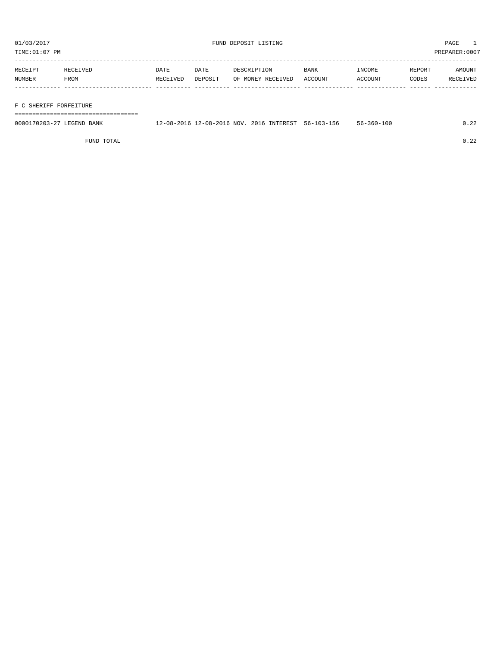TIME:01:07 PM PREPARER:0007

| RECEIPT       | RECEIVED | DATE     | DATE    | DESCRIPTION       | <b>BANK</b> | INCOME  | REPORT | AMOUNT   |
|---------------|----------|----------|---------|-------------------|-------------|---------|--------|----------|
| <b>NUMBER</b> | FROM     | RECEIVED | DEPOSIT | OF MONEY RECEIVED | ACCOUNT     | ACCOUNT | CODES  | RECEIVED |
|               |          |          |         |                   |             |         |        |          |

### F C SHERIFF FORFEITURE

===================================

| 0000170203-27<br>LEGEND BANK | 12-08-2016 12-08-2016 NOV. | . 2016 INTEREST | - 5-103-156 | $-360 - 100$<br>$56 -$ |  |
|------------------------------|----------------------------|-----------------|-------------|------------------------|--|
|                              |                            |                 |             |                        |  |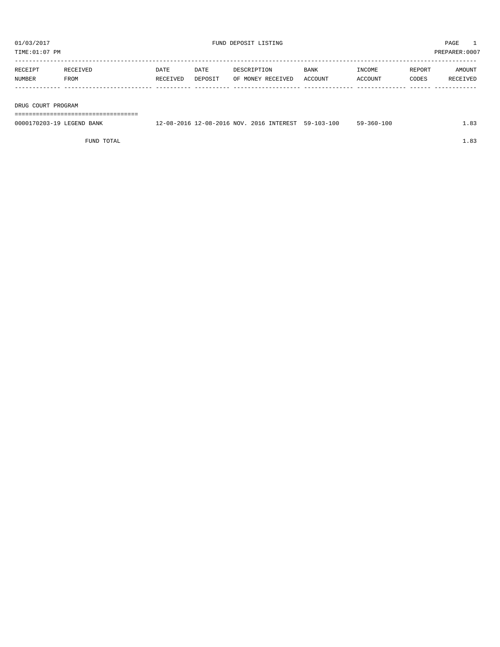| PREPARER: 0007<br>TIME:01:07 PM |                  |                  |                 |                                  |                        |                   |                 |                           |  |
|---------------------------------|------------------|------------------|-----------------|----------------------------------|------------------------|-------------------|-----------------|---------------------------|--|
| RECEIPT<br><b>NUMBER</b>        | RECEIVED<br>FROM | DATE<br>RECEIVED | DATE<br>DEPOSIT | DESCRIPTION<br>OF MONEY RECEIVED | <b>BANK</b><br>ACCOUNT | INCOME<br>ACCOUNT | REPORT<br>CODES | AMOUNT<br><b>RECEIVED</b> |  |
|                                 |                  |                  |                 |                                  |                        |                   |                 |                           |  |

DRUG COURT PROGRAM

===================================

| 0000170203-19 LEGEND BANK | 12-08-2016 12-08-2016 NOV. 2016 INTEREST 59-103-100 |  | $59 - 360 - 100$ |  |
|---------------------------|-----------------------------------------------------|--|------------------|--|
|                           |                                                     |  |                  |  |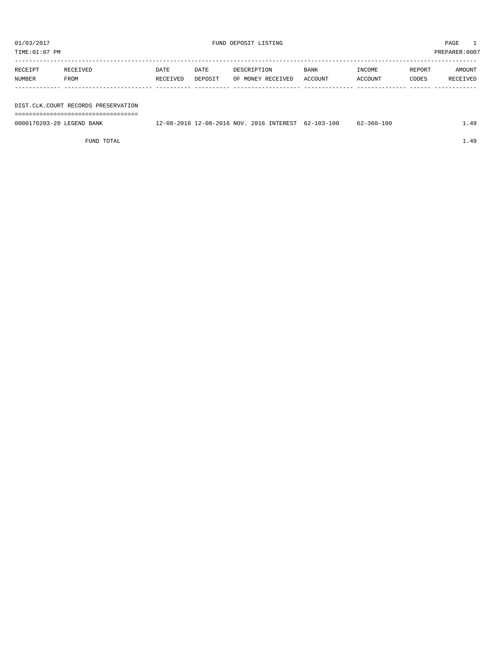TIME:01:07 PM PREPARER:0007 ----------------------------------------------------------------------------------------------------------------------------------- RECEIPT RECEIVED DATE DATE DESCRIPTION BANK INCOME REPORT AMOUNT NUMBER FROM RECEIVED DEPOSIT OF MONEY RECEIVED ACCOUNT ACCOUNT CODES RECEIVED ------------- ------------------------- ---------- ---------- ------------------- -------------- -------------- ------ ------------ DIST.CLK.COURT RECORDS PRESERVATION ===================================

0000170203-20 LEGEND BANK 12-08-2016 12-08-2016 NOV. 2016 INTEREST 62-103-100 62-360-100 1.49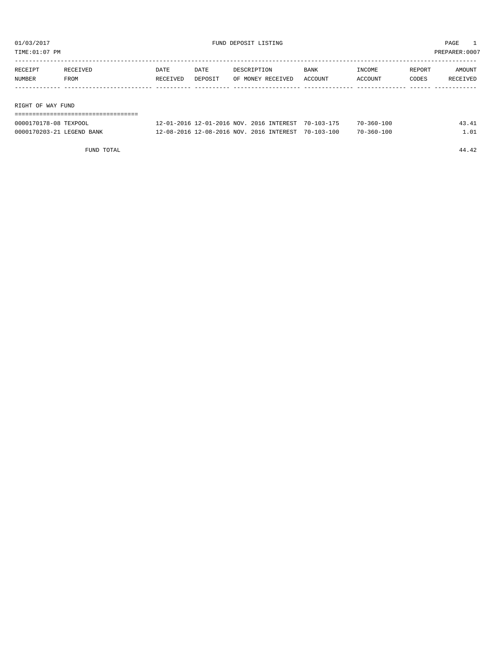TIME:01:07 PM PREPARER:0007

| RECEIPT           | RECEIVED | DATE     | DATE    | DESCRIPTION       | <b>BANK</b> | INCOME  | REPORT | AMOUNT   |
|-------------------|----------|----------|---------|-------------------|-------------|---------|--------|----------|
| NUMBER            | FROM     | RECEIVED | DEPOSIT | OF MONEY RECEIVED | ACCOUNT     | ACCOUNT | CODES  | RECEIVED |
|                   |          |          |         |                   |             |         |        |          |
|                   |          |          |         |                   |             |         |        |          |
| RIGHT OF WAY FUND |          |          |         |                   |             |         |        |          |
|                   |          |          |         |                   |             |         |        |          |

| 0000170178-08 TEXPOOL                     | 12-01-2016 NOV. 2016 INTEREST<br>$2 - 01$<br>. _ 2016. 1 | $70 - 103 - 175$                    | -360-100        |  |
|-------------------------------------------|----------------------------------------------------------|-------------------------------------|-----------------|--|
| 0000170203-21 1<br><b>BANK</b><br>LECEND. | 12-08-2016 NOV<br>$2 - 0.8$<br>$-2016$                   | , 2016 INTEREST<br>$70 - 103 - 100$ | $0 - 360 - 100$ |  |

FUND TOTAL 44.42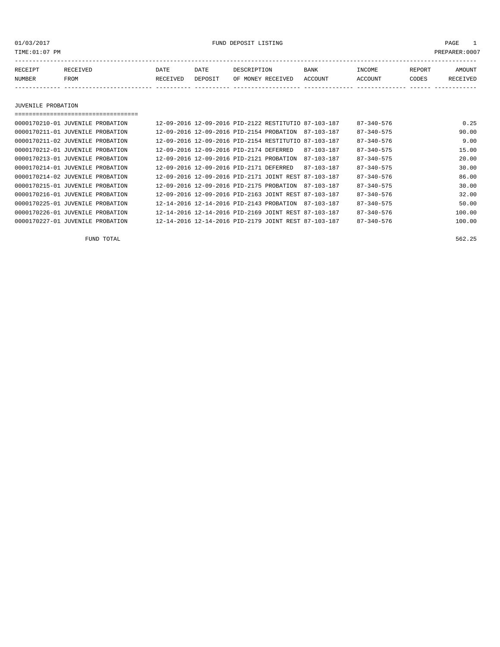01/03/2017 FUND DEPOSIT LISTING PAGE 1

| RECEIPT | RECEIVED | DATE            | DATE    | DESCRIPTION       | <b>BANK</b> | <b>INCOME</b> | REPORT | AMOUNT          |
|---------|----------|-----------------|---------|-------------------|-------------|---------------|--------|-----------------|
| NUMBER  | FROM     | <b>RECEIVED</b> | DEPOSIT | OF MONEY RECEIVED | ACCOUNT     | ACCOUNT       | CODES  | <b>RECEIVED</b> |
|         |          |                 |         |                   |             |               |        |                 |

JUVENILE PROBATION

| , ___________________________________ |                                          |                                          |                                                      |                  |                  |        |
|---------------------------------------|------------------------------------------|------------------------------------------|------------------------------------------------------|------------------|------------------|--------|
| 0000170210-01 JUVENILE PROBATION      |                                          |                                          | 12-09-2016 12-09-2016 PID-2122 RESTITUTIO 87-103-187 |                  | $87 - 340 - 576$ | 0.25   |
| 0000170211-01 JUVENILE PROBATION      |                                          | 12-09-2016 12-09-2016 PID-2154 PROBATION |                                                      | 87-103-187       | $87 - 340 - 575$ | 90.00  |
| 0000170211-02 JUVENILE PROBATION      |                                          |                                          | 12-09-2016 12-09-2016 PID-2154 RESTITUTIO 87-103-187 |                  | $87 - 340 - 576$ | 9.00   |
| 0000170212-01 JUVENILE PROBATION      | 12-09-2016 12-09-2016 PID-2174 DEFERRED  |                                          |                                                      | $87 - 103 - 187$ | $87 - 340 - 575$ | 15.00  |
| 0000170213-01 JUVENILE PROBATION      | 12-09-2016 12-09-2016 PID-2121 PROBATION |                                          |                                                      | $87 - 103 - 187$ | $87 - 340 - 575$ | 20.00  |
| 0000170214-01 JUVENILE PROBATION      | 12-09-2016 12-09-2016 PID-2171 DEFERRED  |                                          |                                                      | $87 - 103 - 187$ | $87 - 340 - 575$ | 30.00  |
| 0000170214-02 JUVENILE PROBATION      |                                          |                                          | 12-09-2016 12-09-2016 PID-2171 JOINT REST 87-103-187 |                  | $87 - 340 - 576$ | 86.00  |
| 0000170215-01 JUVENILE PROBATION      |                                          | 12-09-2016 12-09-2016 PID-2175 PROBATION |                                                      | $87 - 103 - 187$ | $87 - 340 - 575$ | 30.00  |
| 0000170216-01 JUVENILE PROBATION      |                                          |                                          | 12-09-2016 12-09-2016 PID-2163 JOINT REST 87-103-187 |                  | $87 - 340 - 576$ | 32.00  |
| 0000170225-01 JUVENILE PROBATION      |                                          | 12-14-2016 12-14-2016 PID-2143 PROBATION |                                                      | 87-103-187       | $87 - 340 - 575$ | 50.00  |
| 0000170226-01 JUVENILE PROBATION      |                                          |                                          | 12-14-2016 12-14-2016 PID-2169 JOINT REST 87-103-187 |                  | $87 - 340 - 576$ | 100.00 |
| 0000170227-01 JUVENILE PROBATION      |                                          |                                          | 12-14-2016 12-14-2016 PID-2179 JOINT REST 87-103-187 |                  | $87 - 340 - 576$ | 100.00 |

FUND TOTAL 562.25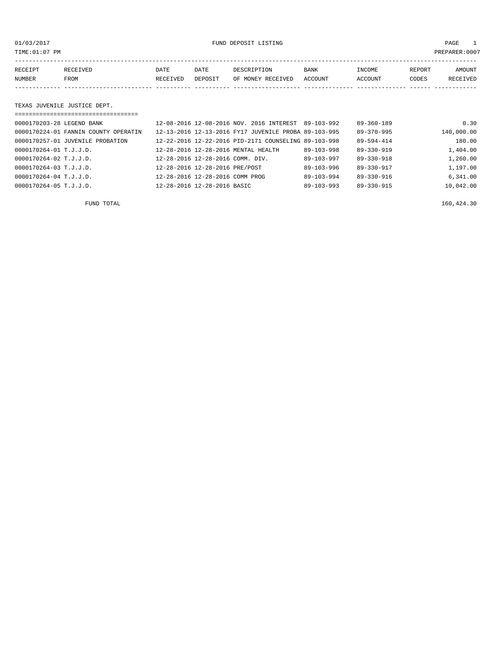01/03/2017 FUND DEPOSIT LISTING PAGE 1

| RECEIPT | <b>RECEIVED</b> | DATE     | DATE    | DESCRIPTION       | <b>BANK</b> | INCOME  | <b>REPORT</b> | AMOUNT          |
|---------|-----------------|----------|---------|-------------------|-------------|---------|---------------|-----------------|
| NUMBER  | <b>FROM</b>     | RECEIVED | DEPOSIT | OF MONEY RECEIVED | ACCOUNT     | ACCOUNT | CODES         | <b>RECEIVED</b> |
|         |                 |          |         |                   |             |         |               |                 |

#### TEXAS JUVENILE JUSTICE DEPT.

|                           | ==================================== |                                  |                                                      |                  |                  |            |
|---------------------------|--------------------------------------|----------------------------------|------------------------------------------------------|------------------|------------------|------------|
| 0000170203-28 LEGEND BANK |                                      |                                  | 12-08-2016 12-08-2016 NOV. 2016 INTEREST 89-103-992  |                  | $89 - 360 - 189$ | 0.30       |
|                           | 0000170224-01 FANNIN COUNTY OPERATIN |                                  | 12-13-2016 12-13-2016 FY17 JUVENILE PROBA 89-103-995 |                  | $89 - 370 - 995$ | 140,000.00 |
|                           | 0000170257-01 JUVENILE PROBATION     |                                  | 12-22-2016 12-22-2016 PID-2171 COUNSELING 89-103-998 |                  | 89-594-414       | 180.00     |
| 0000170264-01 T.J.J.D.    |                                      |                                  | 12-28-2016 12-28-2016 MENTAL HEALTH                  | $89 - 103 - 998$ | $89 - 330 - 919$ | 1,404.00   |
| 0000170264-02 T.J.J.D.    |                                      | 12-28-2016 12-28-2016 COMM. DIV. |                                                      | $89 - 103 - 997$ | $89 - 330 - 918$ | 1,260.00   |
| 0000170264-03 T.J.J.D.    |                                      | 12-28-2016 12-28-2016 PRE/POST   |                                                      | $89 - 103 - 996$ | $89 - 330 - 917$ | 1,197.00   |
| 0000170264-04 T.J.J.D.    |                                      | 12-28-2016 12-28-2016 COMM PROG  |                                                      | $89 - 103 - 994$ | $89 - 330 - 916$ | 6,341.00   |
| 0000170264-05 T.J.J.D.    |                                      | 12-28-2016 12-28-2016 BASIC      |                                                      | $89 - 103 - 993$ | 89-330-915       | 10,042.00  |

FUND TOTAL 160,424.30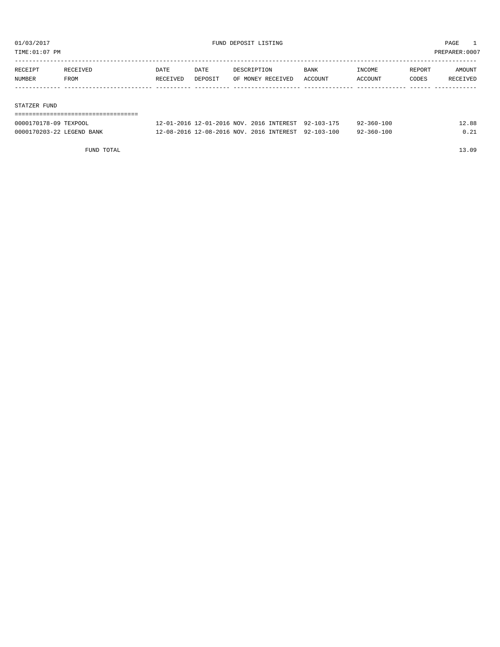TIME:01:07 PM PREPARER:0007

| RECEIPT | RECEIVED | DATE     | DATE    | DESCRIPTION       | BANK    | INCOME  | REPORT | AMOUNT   |
|---------|----------|----------|---------|-------------------|---------|---------|--------|----------|
| NUMBER  | FROM     | RECEIVED | DEPOSIT | OF MONEY RECEIVED | ACCOUNT | ACCOUNT | CODES  | RECEIVED |
|         |          |          |         |                   |         |         |        |          |
|         |          |          |         |                   |         |         |        |          |

#### STATZER FUND

| 0000170178-09 TEXPOOL     | 12-01-2016 12-01-2016 NOV, 2016 INTEREST 92-103-175 |  | $92 - 360 - 100$ | 12.88 |
|---------------------------|-----------------------------------------------------|--|------------------|-------|
| 0000170203-22 LEGEND BANK | 12-08-2016 12-08-2016 NOV. 2016 INTEREST 92-103-100 |  | $92 - 360 - 100$ | 0 21  |

FUND TOTAL 13.09